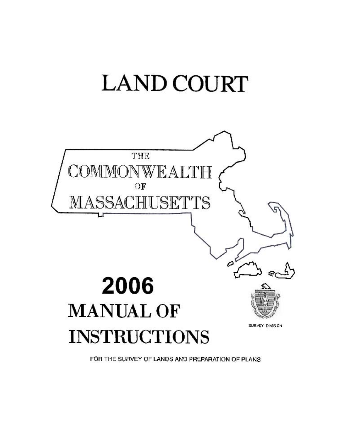# **LAND COURT**



FOR THE SURVEY OF LANDS AND PREPARATION OF PLANS.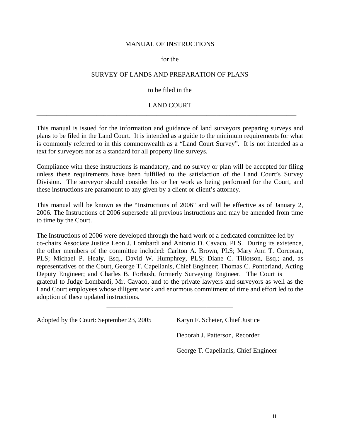#### MANUAL OF INSTRUCTIONS

#### for the

#### SURVEY OF LANDS AND PREPARATION OF PLANS

#### to be filed in the

# LAND COURT \_\_\_\_\_\_\_\_\_\_\_\_\_\_\_\_\_\_\_\_\_\_\_\_\_\_\_\_\_\_\_\_\_\_\_\_\_\_\_\_\_\_\_\_\_\_\_\_\_\_\_\_\_\_\_\_\_\_\_\_\_\_\_\_\_\_\_\_\_\_\_\_\_\_\_\_\_\_

This manual is issued for the information and guidance of land surveyors preparing surveys and plans to be filed in the Land Court. It is intended as a guide to the minimum requirements for what is commonly referred to in this commonwealth as a "Land Court Survey". It is not intended as a text for surveyors nor as a standard for all property line surveys.

Compliance with these instructions is mandatory, and no survey or plan will be accepted for filing unless these requirements have been fulfilled to the satisfaction of the Land Court's Survey Division. The surveyor should consider his or her work as being performed for the Court, and these instructions are paramount to any given by a client or client's attorney.

This manual will be known as the "Instructions of 2006" and will be effective as of January 2, 2006. The Instructions of 2006 supersede all previous instructions and may be amended from time to time by the Court.

The Instructions of 2006 were developed through the hard work of a dedicated committee led by co-chairs Associate Justice Leon J. Lombardi and Antonio D. Cavaco, PLS. During its existence, the other members of the committee included: Carlton A. Brown, PLS; Mary Ann T. Corcoran, PLS; Michael P. Healy, Esq., David W. Humphrey, PLS; Diane C. Tillotson, Esq.; and, as representatives of the Court, George T. Capelianis, Chief Engineer; Thomas C. Pontbriand, Acting Deputy Engineer; and Charles B. Forbush, formerly Surveying Engineer. The Court is grateful to Judge Lombardi, Mr. Cavaco, and to the private lawyers and surveyors as well as the Land Court employees whose diligent work and enormous commitment of time and effort led to the adoption of these updated instructions.

\_\_\_\_\_\_\_\_\_\_\_\_\_\_\_\_\_\_\_\_\_\_\_\_\_\_\_\_\_\_\_\_\_\_\_\_\_\_

Adopted by the Court: September 23, 2005 Karyn F. Scheier, Chief Justice

Deborah J. Patterson, Recorder

George T. Capelianis, Chief Engineer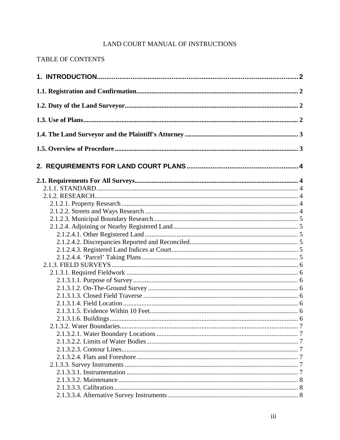# LAND COURT MANUAL OF INSTRUCTIONS

# TABLE OF CONTENTS

| 2.1.3.1.6. Buildings. |  |
|-----------------------|--|
|                       |  |
|                       |  |
|                       |  |
|                       |  |
|                       |  |
|                       |  |
|                       |  |
|                       |  |
|                       |  |
|                       |  |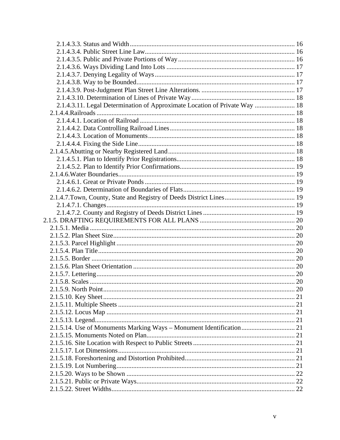| 2.1.4.3.11. Legal Determination of Approximate Location of Private Way  18 |  |
|----------------------------------------------------------------------------|--|
|                                                                            |  |
|                                                                            |  |
|                                                                            |  |
|                                                                            |  |
|                                                                            |  |
|                                                                            |  |
|                                                                            |  |
|                                                                            |  |
|                                                                            |  |
|                                                                            |  |
|                                                                            |  |
|                                                                            |  |
|                                                                            |  |
|                                                                            |  |
|                                                                            |  |
|                                                                            |  |
|                                                                            |  |
|                                                                            |  |
|                                                                            |  |
|                                                                            |  |
|                                                                            |  |
|                                                                            |  |
|                                                                            |  |
|                                                                            |  |
|                                                                            |  |
|                                                                            |  |
|                                                                            |  |
|                                                                            |  |
| 2.1.5.14. Use of Monuments Marking Ways - Monument Identification 21       |  |
|                                                                            |  |
|                                                                            |  |
|                                                                            |  |
|                                                                            |  |
|                                                                            |  |
|                                                                            |  |
|                                                                            |  |
|                                                                            |  |
|                                                                            |  |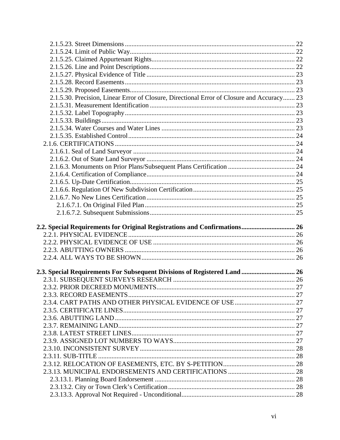| 2.1.5.30. Precision, Linear Error of Closure, Directional Error of Closure and Accuracy 23 |  |
|--------------------------------------------------------------------------------------------|--|
|                                                                                            |  |
|                                                                                            |  |
|                                                                                            |  |
|                                                                                            |  |
|                                                                                            |  |
|                                                                                            |  |
|                                                                                            |  |
|                                                                                            |  |
|                                                                                            |  |
|                                                                                            |  |
|                                                                                            |  |
|                                                                                            |  |
|                                                                                            |  |
|                                                                                            |  |
|                                                                                            |  |
|                                                                                            |  |
|                                                                                            |  |
|                                                                                            |  |
| 2.2. Special Requirements for Original Registrations and Confirmations 26                  |  |
|                                                                                            |  |
|                                                                                            |  |
|                                                                                            |  |
|                                                                                            |  |
|                                                                                            |  |
|                                                                                            |  |
|                                                                                            |  |
|                                                                                            |  |
|                                                                                            |  |
|                                                                                            |  |
|                                                                                            |  |
|                                                                                            |  |
|                                                                                            |  |
|                                                                                            |  |
|                                                                                            |  |
|                                                                                            |  |
|                                                                                            |  |
|                                                                                            |  |
| 2.3. Special Requirements For Subsequent Divisions of Registered Land  26                  |  |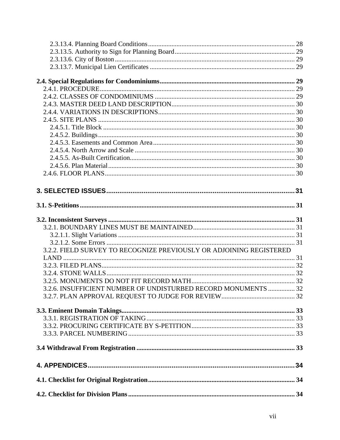| 3.2.2. FIELD SURVEY TO RECOGNIZE PREVIOUSLY OR ADJOINING REGISTERED |  |
|---------------------------------------------------------------------|--|
|                                                                     |  |
|                                                                     |  |
|                                                                     |  |
|                                                                     |  |
| 3.2.6. INSUFFICIENT NUMBER OF UNDISTURBED RECORD MONUMENTS  32      |  |
|                                                                     |  |
|                                                                     |  |
|                                                                     |  |
|                                                                     |  |
|                                                                     |  |
|                                                                     |  |
|                                                                     |  |
|                                                                     |  |
|                                                                     |  |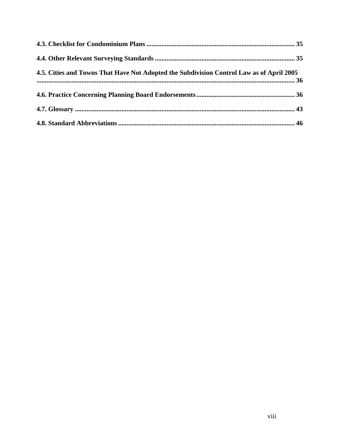| 4.5. Cities and Towns That Have Not Adopted the Subdivision Control Law as of April 2005 |  |
|------------------------------------------------------------------------------------------|--|
|                                                                                          |  |
|                                                                                          |  |
|                                                                                          |  |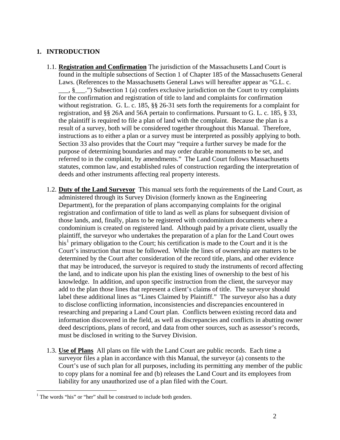# <span id="page-8-0"></span>**1. INTRODUCTION**

- 1.1. **Registration and Confirmation** The jurisdiction of the Massachusetts Land Court is found in the multiple subsections of Section 1 of Chapter 185 of the Massachusetts General Laws. (References to the Massachusetts General Laws will hereafter appear as "G.L. c.  $\frac{1}{2}$ , §  $\frac{1}{2}$ .") Subsection 1 (a) confers exclusive jurisdiction on the Court to try complaints for the confirmation and registration of title to land and complaints for confirmation without registration. G. L. c. 185, §§ 26-31 sets forth the requirements for a complaint for registration, and §§ 26A and 56A pertain to confirmations. Pursuant to G. L. c. 185, § 33, the plaintiff is required to file a plan of land with the complaint. Because the plan is a result of a survey, both will be considered together throughout this Manual. Therefore, instructions as to either a plan or a survey must be interpreted as possibly applying to both. Section 33 also provides that the Court may "require a further survey be made for the purpose of determining boundaries and may order durable monuments to be set, and referred to in the complaint, by amendments." The Land Court follows Massachusetts statutes, common law, and established rules of construction regarding the interpretation of deeds and other instruments affecting real property interests.
- 1.2. **Duty of the Land Surveyor** This manual sets forth the requirements of the Land Court, as administered through its Survey Division (formerly known as the Engineering Department), for the preparation of plans accompanying complaints for the original registration and confirmation of title to land as well as plans for subsequent division of those lands, and, finally, plans to be registered with condominium documents where a condominium is created on registered land. Although paid by a private client, usually the plaintiff, the surveyor who undertakes the preparation of a plan for the Land Court owes  $\overline{\text{his}}^1$  $\overline{\text{his}}^1$  primary obligation to the Court; his certification is made to the Court and it is the Court's instruction that must be followed. While the lines of ownership are matters to be determined by the Court after consideration of the record title, plans, and other evidence that may be introduced, the surveyor is required to study the instruments of record affecting the land, and to indicate upon his plan the existing lines of ownership to the best of his knowledge. In addition, and upon specific instruction from the client, the surveyor may add to the plan those lines that represent a client's claims of title. The surveyor should label these additional lines as "Lines Claimed by Plaintiff." The surveyor also has a duty to disclose conflicting information, inconsistencies and discrepancies encountered in researching and preparing a Land Court plan. Conflicts between existing record data and information discovered in the field, as well as discrepancies and conflicts in abutting owner deed descriptions, plans of record, and data from other sources, such as assessor's records, must be disclosed in writing to the Survey Division.
- 1.3. **Use of Plans** All plans on file with the Land Court are public records. Each time a surveyor files a plan in accordance with this Manual, the surveyor (a) consents to the Court's use of such plan for all purposes, including its permitting any member of the public to copy plans for a nominal fee and (b) releases the Land Court and its employees from liability for any unauthorized use of a plan filed with the Court.

<u>.</u>

<span id="page-8-1"></span> $<sup>1</sup>$  The words "his" or "her" shall be construed to include both genders.</sup>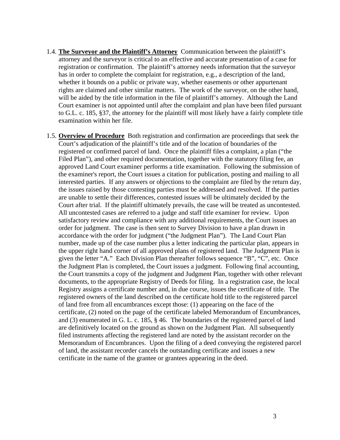- <span id="page-9-0"></span>1.4. **The Surveyor and the Plaintiff's Attorney** Communication between the plaintiff's attorney and the surveyor is critical to an effective and accurate presentation of a case for registration or confirmation. The plaintiff's attorney needs information that the surveyor has in order to complete the complaint for registration, e.g., a description of the land, whether it bounds on a public or private way, whether easements or other appurtenant rights are claimed and other similar matters. The work of the surveyor, on the other hand, will be aided by the title information in the file of plaintiff's attorney. Although the Land Court examiner is not appointed until after the complaint and plan have been filed pursuant to G.L. c. 185, §37, the attorney for the plaintiff will most likely have a fairly complete title examination within her file.
- 1.5. **Overview of Procedure** Both registration and confirmation are proceedings that seek the Court's adjudication of the plaintiff's title and of the location of boundaries of the registered or confirmed parcel of land. Once the plaintiff files a complaint, a plan ("the Filed Plan"), and other required documentation, together with the statutory filing fee, an approved Land Court examiner performs a title examination. Following the submission of the examiner's report, the Court issues a citation for publication, posting and mailing to all interested parties. If any answers or objections to the complaint are filed by the return day, the issues raised by those contesting parties must be addressed and resolved. If the parties are unable to settle their differences, contested issues will be ultimately decided by the Court after trial. If the plaintiff ultimately prevails, the case will be treated as uncontested. All uncontested cases are referred to a judge and staff title examiner for review. Upon satisfactory review and compliance with any additional requirements, the Court issues an order for judgment. The case is then sent to Survey Division to have a plan drawn in accordance with the order for judgment ("the Judgment Plan"). The Land Court Plan number, made up of the case number plus a letter indicating the particular plan, appears in the upper right hand corner of all approved plans of registered land. The Judgment Plan is given the letter "A." Each Division Plan thereafter follows sequence "B", "C", etc. Once the Judgment Plan is completed, the Court issues a judgment. Following final accounting, the Court transmits a copy of the judgment and Judgment Plan, together with other relevant documents, to the appropriate Registry of Deeds for filing. In a registration case, the local Registry assigns a certificate number and, in due course, issues the certificate of title. The registered owners of the land described on the certificate hold title to the registered parcel of land free from all encumbrances except those: (1) appearing on the face of the certificate, (2) noted on the page of the certificate labeled Memorandum of Encumbrances, and (3) enumerated in G. L. c. 185, § 46. The boundaries of the registered parcel of land are definitively located on the ground as shown on the Judgment Plan. All subsequently filed instruments affecting the registered land are noted by the assistant recorder on the Memorandum of Encumbrances. Upon the filing of a deed conveying the registered parcel of land, the assistant recorder cancels the outstanding certificate and issues a new certificate in the name of the grantee or grantees appearing in the deed.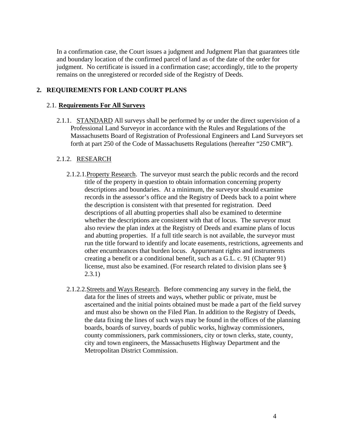<span id="page-10-0"></span>In a confirmation case, the Court issues a judgment and Judgment Plan that guarantees title and boundary location of the confirmed parcel of land as of the date of the order for judgment. No certificate is issued in a confirmation case; accordingly, title to the property remains on the unregistered or recorded side of the Registry of Deeds.

# **2. REQUIREMENTS FOR LAND COURT PLANS**

# 2.1. **Requirements For All Surveys**

2.1.1. STANDARD All surveys shall be performed by or under the direct supervision of a Professional Land Surveyor in accordance with the Rules and Regulations of the Massachusetts Board of Registration of Professional Engineers and Land Surveyors set forth at part 250 of the Code of Massachusetts Regulations (hereafter "250 CMR").

# 2.1.2. RESEARCH

- 2.1.2.1.Property Research. The surveyor must search the public records and the record title of the property in question to obtain information concerning property descriptions and boundaries. At a minimum, the surveyor should examine records in the assessor's office and the Registry of Deeds back to a point where the description is consistent with that presented for registration. Deed descriptions of all abutting properties shall also be examined to determine whether the descriptions are consistent with that of locus. The surveyor must also review the plan index at the Registry of Deeds and examine plans of locus and abutting properties. If a full title search is not available, the surveyor must run the title forward to identify and locate easements, restrictions, agreements and other encumbrances that burden locus. Appurtenant rights and instruments creating a benefit or a conditional benefit, such as a G.L. c. 91 (Chapter 91) license, must also be examined. (For research related to division plans see § 2.3.1)
- 2.1.2.2.Streets and Ways Research. Before commencing any survey in the field, the data for the lines of streets and ways, whether public or private, must be ascertained and the initial points obtained must be made a part of the field survey and must also be shown on the Filed Plan. In addition to the Registry of Deeds, the data fixing the lines of such ways may be found in the offices of the planning boards, boards of survey, boards of public works, highway commissioners, county commissioners, park commissioners, city or town clerks, state, county, city and town engineers, the Massachusetts Highway Department and the Metropolitan District Commission.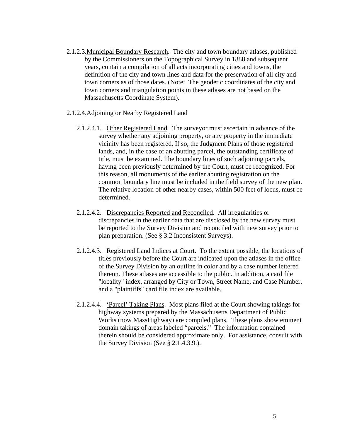- <span id="page-11-0"></span>2.1.2.3.Municipal Boundary Research. The city and town boundary atlases, published by the Commissioners on the Topographical Survey in 1888 and subsequent years, contain a compilation of all acts incorporating cities and towns, the definition of the city and town lines and data for the preservation of all city and town corners as of those dates. (Note: The geodetic coordinates of the city and town corners and triangulation points in these atlases are not based on the Massachusetts Coordinate System).
- 2.1.2.4.Adjoining or Nearby Registered Land
	- 2.1.2.4.1. Other Registered Land. The surveyor must ascertain in advance of the survey whether any adjoining property, or any property in the immediate vicinity has been registered. If so, the Judgment Plans of those registered lands, and, in the case of an abutting parcel, the outstanding certificate of title, must be examined. The boundary lines of such adjoining parcels, having been previously determined by the Court, must be recognized. For this reason, all monuments of the earlier abutting registration on the common boundary line must be included in the field survey of the new plan. The relative location of other nearby cases, within 500 feet of locus, must be determined.
	- 2.1.2.4.2. Discrepancies Reported and Reconciled. All irregularities or discrepancies in the earlier data that are disclosed by the new survey must be reported to the Survey Division and reconciled with new survey prior to plan preparation. (See § 3.2 Inconsistent Surveys).
	- 2.1.2.4.3. Registered Land Indices at Court. To the extent possible, the locations of titles previously before the Court are indicated upon the atlases in the office of the Survey Division by an outline in color and by a case number lettered thereon. These atlases are accessible to the public. In addition, a card file "locality" index, arranged by City or Town, Street Name, and Case Number, and a "plaintiffs" card file index are available.
	- 2.1.2.4.4. 'Parcel' Taking Plans. Most plans filed at the Court showing takings for highway systems prepared by the Massachusetts Department of Public Works (now MassHighway) are compiled plans. These plans show eminent domain takings of areas labeled "parcels." The information contained therein should be considered approximate only. For assistance, consult with the Survey Division (See § 2.1.4.3.9.).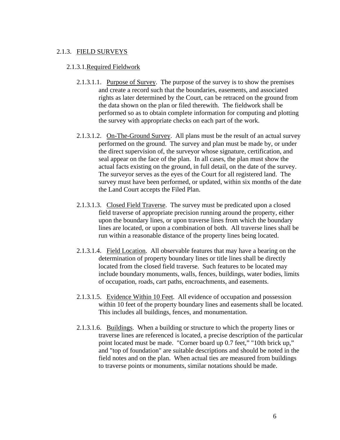# <span id="page-12-0"></span>2.1.3. FIELD SURVEYS

#### 2.1.3.1.Required Fieldwork

- 2.1.3.1.1. Purpose of Survey. The purpose of the survey is to show the premises and create a record such that the boundaries, easements, and associated rights as later determined by the Court, can be retraced on the ground from the data shown on the plan or filed therewith. The fieldwork shall be performed so as to obtain complete information for computing and plotting the survey with appropriate checks on each part of the work.
- 2.1.3.1.2. On-The-Ground Survey. All plans must be the result of an actual survey performed on the ground. The survey and plan must be made by, or under the direct supervision of, the surveyor whose signature, certification, and seal appear on the face of the plan. In all cases, the plan must show the actual facts existing on the ground, in full detail, on the date of the survey. The surveyor serves as the eyes of the Court for all registered land. The survey must have been performed, or updated, within six months of the date the Land Court accepts the Filed Plan.
- 2.1.3.1.3. Closed Field Traverse. The survey must be predicated upon a closed field traverse of appropriate precision running around the property, either upon the boundary lines, or upon traverse lines from which the boundary lines are located, or upon a combination of both. All traverse lines shall be run within a reasonable distance of the property lines being located.
- 2.1.3.1.4. Field Location. All observable features that may have a bearing on the determination of property boundary lines or title lines shall be directly located from the closed field traverse. Such features to be located may include boundary monuments, walls, fences, buildings, water bodies, limits of occupation, roads, cart paths, encroachments, and easements.
- 2.1.3.1.5. Evidence Within 10 Feet. All evidence of occupation and possession within 10 feet of the property boundary lines and easements shall be located. This includes all buildings, fences, and monumentation.
- 2.1.3.1.6. Buildings. When a building or structure to which the property lines or traverse lines are referenced is located, a precise description of the particular point located must be made. "Corner board up 0.7 feet," "10th brick up," and "top of foundation" are suitable descriptions and should be noted in the field notes and on the plan. When actual ties are measured from buildings to traverse points or monuments, similar notations should be made.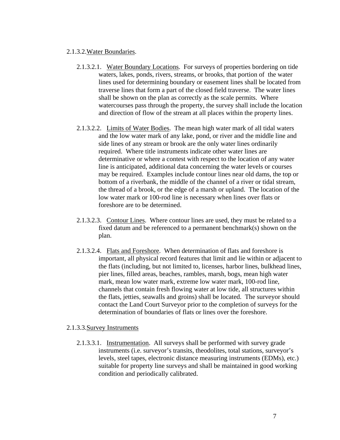#### <span id="page-13-0"></span>2.1.3.2.Water Boundaries.

- 2.1.3.2.1. Water Boundary Locations. For surveys of properties bordering on tide waters, lakes, ponds, rivers, streams, or brooks, that portion of the water lines used for determining boundary or easement lines shall be located from traverse lines that form a part of the closed field traverse. The water lines shall be shown on the plan as correctly as the scale permits. Where watercourses pass through the property, the survey shall include the location and direction of flow of the stream at all places within the property lines.
- 2.1.3.2.2. Limits of Water Bodies. The mean high water mark of all tidal waters and the low water mark of any lake, pond, or river and the middle line and side lines of any stream or brook are the only water lines ordinarily required. Where title instruments indicate other water lines are determinative or where a contest with respect to the location of any water line is anticipated, additional data concerning the water levels or courses may be required. Examples include contour lines near old dams, the top or bottom of a riverbank, the middle of the channel of a river or tidal stream, the thread of a brook, or the edge of a marsh or upland. The location of the low water mark or 100-rod line is necessary when lines over flats or foreshore are to be determined.
- 2.1.3.2.3. Contour Lines. Where contour lines are used, they must be related to a fixed datum and be referenced to a permanent benchmark(s) shown on the plan.
- 2.1.3.2.4. Flats and Foreshore. When determination of flats and foreshore is important, all physical record features that limit and lie within or adjacent to the flats (including, but not limited to, licenses, harbor lines, bulkhead lines, pier lines, filled areas, beaches, rambles, marsh, bogs, mean high water mark, mean low water mark, extreme low water mark, 100-rod line, channels that contain fresh flowing water at low tide, all structures within the flats, jetties, seawalls and groins) shall be located. The surveyor should contact the Land Court Surveyor prior to the completion of surveys for the determination of boundaries of flats or lines over the foreshore.

# 2.1.3.3.Survey Instruments

2.1.3.3.1. Instrumentation. All surveys shall be performed with survey grade instruments (i.e. surveyor's transits, theodolites, total stations, surveyor's levels, steel tapes, electronic distance measuring instruments (EDMs), etc.) suitable for property line surveys and shall be maintained in good working condition and periodically calibrated.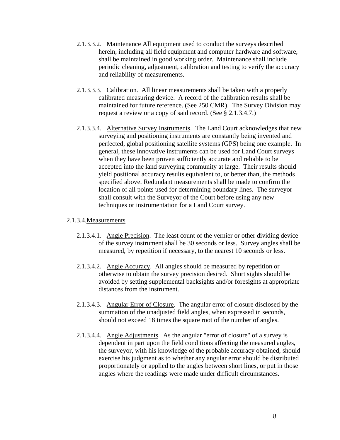- <span id="page-14-0"></span>2.1.3.3.2. Maintenance All equipment used to conduct the surveys described herein, including all field equipment and computer hardware and software, shall be maintained in good working order. Maintenance shall include periodic cleaning, adjustment, calibration and testing to verify the accuracy and reliability of measurements.
- 2.1.3.3.3. Calibration. All linear measurements shall be taken with a properly calibrated measuring device. A record of the calibration results shall be maintained for future reference. (See 250 CMR). The Survey Division may request a review or a copy of said record. (See § 2.1.3.4.7.)
- 2.1.3.3.4. Alternative Survey Instruments. The Land Court acknowledges that new surveying and positioning instruments are constantly being invented and perfected, global positioning satellite systems (GPS) being one example. In general, these innovative instruments can be used for Land Court surveys when they have been proven sufficiently accurate and reliable to be accepted into the land surveying community at large. Their results should yield positional accuracy results equivalent to, or better than, the methods specified above. Redundant measurements shall be made to confirm the location of all points used for determining boundary lines. The surveyor shall consult with the Surveyor of the Court before using any new techniques or instrumentation for a Land Court survey.

# 2.1.3.4.Measurements

- 2.1.3.4.1. Angle Precision. The least count of the vernier or other dividing device of the survey instrument shall be 30 seconds or less. Survey angles shall be measured, by repetition if necessary, to the nearest 10 seconds or less.
- 2.1.3.4.2. Angle Accuracy. All angles should be measured by repetition or otherwise to obtain the survey precision desired. Short sights should be avoided by setting supplemental backsights and/or foresights at appropriate distances from the instrument.
- 2.1.3.4.3. Angular Error of Closure. The angular error of closure disclosed by the summation of the unadjusted field angles, when expressed in seconds, should not exceed 18 times the square root of the number of angles.
- 2.1.3.4.4. Angle Adjustments. As the angular "error of closure" of a survey is dependent in part upon the field conditions affecting the measured angles, the surveyor, with his knowledge of the probable accuracy obtained, should exercise his judgment as to whether any angular error should be distributed proportionately or applied to the angles between short lines, or put in those angles where the readings were made under difficult circumstances.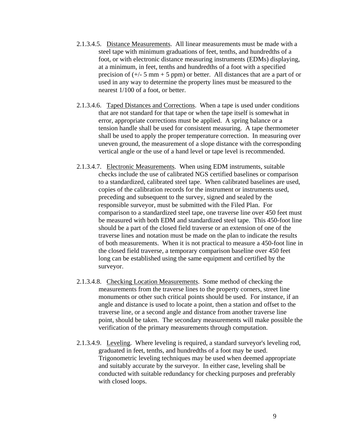- <span id="page-15-0"></span>2.1.3.4.5. Distance Measurements. All linear measurements must be made with a steel tape with minimum graduations of feet, tenths, and hundredths of a foot, or with electronic distance measuring instruments (EDMs) displaying, at a minimum, in feet, tenths and hundredths of a foot with a specified precision of  $(+/- 5 \text{ mm} + 5 \text{ ppm})$  or better. All distances that are a part of or used in any way to determine the property lines must be measured to the nearest 1/100 of a foot, or better.
- 2.1.3.4.6. Taped Distances and Corrections. When a tape is used under conditions that are not standard for that tape or when the tape itself is somewhat in error, appropriate corrections must be applied. A spring balance or a tension handle shall be used for consistent measuring. A tape thermometer shall be used to apply the proper temperature correction. In measuring over uneven ground, the measurement of a slope distance with the corresponding vertical angle or the use of a hand level or tape level is recommended.
- 2.1.3.4.7. Electronic Measurements. When using EDM instruments, suitable checks include the use of calibrated NGS certified baselines or comparison to a standardized, calibrated steel tape. When calibrated baselines are used, copies of the calibration records for the instrument or instruments used, preceding and subsequent to the survey, signed and sealed by the responsible surveyor, must be submitted with the Filed Plan. For comparison to a standardized steel tape, one traverse line over 450 feet must be measured with both EDM and standardized steel tape. This 450-foot line should be a part of the closed field traverse or an extension of one of the traverse lines and notation must be made on the plan to indicate the results of both measurements. When it is not practical to measure a 450-foot line in the closed field traverse, a temporary comparison baseline over 450 feet long can be established using the same equipment and certified by the surveyor.
- 2.1.3.4.8. Checking Location Measurements. Some method of checking the measurements from the traverse lines to the property corners, street line monuments or other such critical points should be used. For instance, if an angle and distance is used to locate a point, then a station and offset to the traverse line, or a second angle and distance from another traverse line point, should be taken. The secondary measurements will make possible the verification of the primary measurements through computation.
- 2.1.3.4.9. Leveling. Where leveling is required, a standard surveyor's leveling rod, graduated in feet, tenths, and hundredths of a foot may be used. Trigonometric leveling techniques may be used when deemed appropriate and suitably accurate by the surveyor. In either case, leveling shall be conducted with suitable redundancy for checking purposes and preferably with closed loops.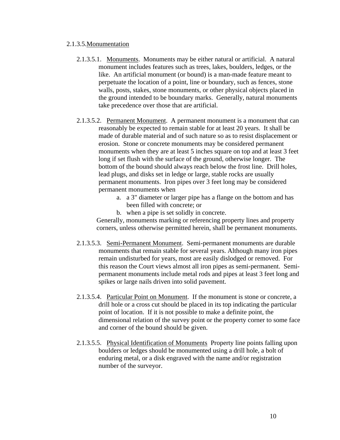#### <span id="page-16-0"></span>2.1.3.5.Monumentation

- 2.1.3.5.1. Monuments. Monuments may be either natural or artificial. A natural monument includes features such as trees, lakes, boulders, ledges, or the like. An artificial monument (or bound) is a man-made feature meant to perpetuate the location of a point, line or boundary, such as fences, stone walls, posts, stakes, stone monuments, or other physical objects placed in the ground intended to be boundary marks. Generally, natural monuments take precedence over those that are artificial.
- 2.1.3.5.2. Permanent Monument. A permanent monument is a monument that can reasonably be expected to remain stable for at least 20 years. It shall be made of durable material and of such nature so as to resist displacement or erosion. Stone or concrete monuments may be considered permanent monuments when they are at least 5 inches square on top and at least 3 feet long if set flush with the surface of the ground, otherwise longer. The bottom of the bound should always reach below the frost line. Drill holes, lead plugs, and disks set in ledge or large, stable rocks are usually permanent monuments. Iron pipes over 3 feet long may be considered permanent monuments when
	- a. a 3" diameter or larger pipe has a flange on the bottom and has been filled with concrete; or
	- b. when a pipe is set solidly in concrete.

Generally, monuments marking or referencing property lines and property corners, unless otherwise permitted herein, shall be permanent monuments.

- 2.1.3.5.3. Semi-Permanent Monument. Semi-permanent monuments are durable monuments that remain stable for several years. Although many iron pipes remain undisturbed for years, most are easily dislodged or removed. For this reason the Court views almost all iron pipes as semi-permanent. Semipermanent monuments include metal rods and pipes at least 3 feet long and spikes or large nails driven into solid pavement.
- 2.1.3.5.4. Particular Point on Monument. If the monument is stone or concrete, a drill hole or a cross cut should be placed in its top indicating the particular point of location. If it is not possible to make a definite point, the dimensional relation of the survey point or the property corner to some face and corner of the bound should be given.
- 2.1.3.5.5. Physical Identification of Monuments Property line points falling upon boulders or ledges should be monumented using a drill hole, a bolt of enduring metal, or a disk engraved with the name and/or registration number of the surveyor.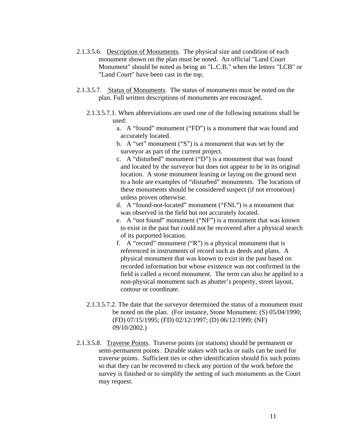- <span id="page-17-0"></span>2.1.3.5.6. Description of Monuments. The physical size and condition of each monument shown on the plan must be noted. An official "Land Court Monument" should be noted as being an "L.C.B." when the letters "LCB" or "Land Court" have been cast in the top.
- 2.1.3.5.7. Status of Monuments. The status of monuments must be noted on the plan. Full written descriptions of monuments are encouraged.
	- 2.1.3.5.7.1. When abbreviations are used one of the following notations shall be used:
		- a. A "found" monument ("FD") is a monument that was found and accurately located.
		- b. A "set" monument ("S") is a monument that was set by the surveyor as part of the current project.
		- c. A "disturbed" monument ("D") is a monument that was found and located by the surveyor but does not appear to be in its original location. A stone monument leaning or laying on the ground next to a hole are examples of "disturbed" monuments. The locations of these monuments should be considered suspect (if not erroneous) unless proven otherwise.
		- d. A "found-not-located" monument ("FNL") is a monument that was observed in the field but not accurately located.
		- e. A "not found" monument ("NF") is a monument that was known to exist in the past but could not be recovered after a physical search of its purported location.
		- f. A "record" monument ("R") is a physical monument that is referenced in instruments of record such as deeds and plans. A physical monument that was known to exist in the past based on recorded information but whose existence was not confirmed in the field is called a record monument. The term can also be applied to a non-physical monument such as abutter's property, street layout, contour or coordinate.
	- 2.1.3.5.7.2. The date that the surveyor determined the status of a monument must be noted on the plan. (For instance, Stone Monument: (S) 05/04/1990; (FD) 07/15/1995; (FD) 02/12/1997; (D) 06/12/1999; (NF) 09/10/2002.)
- 2.1.3.5.8. Traverse Points. Traverse points (or stations) should be permanent or semi-permanent points. Durable stakes with tacks or nails can be used for traverse points. Sufficient ties or other identification should fix such points so that they can be recovered to check any portion of the work before the survey is finished or to simplify the setting of such monuments as the Court may request.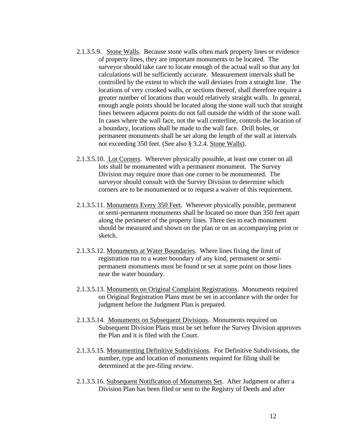- <span id="page-18-0"></span>2.1.3.5.9. Stone Walls. Because stone walls often mark property lines or evidence of property lines, they are important monuments to be located. The surveyor should take care to locate enough of the actual wall so that any lot calculations will be sufficiently accurate. Measurement intervals shall be controlled by the extent to which the wall deviates from a straight line. The locations of very crooked walls, or sections thereof, shall therefore require a greater number of locations than would relatively straight walls. In general, enough angle points should be located along the stone wall such that straight lines between adjacent points do not fall outside the width of the stone wall. In cases where the wall face, not the wall centerline, controls the location of a boundary, locations shall be made to the wall face. Drill holes, or permanent monuments shall be set along the length of the wall at intervals not exceeding 350 feet. (See also § 3.2.4. Stone Walls).
- 2.1.3.5.10. Lot Corners. Wherever physically possible, at least one corner on all lots shall be monumented with a permanent monument. The Survey Division may require more than one corner to be monumented. The surveyor should consult with the Survey Division to determine which corners are to be monumented or to request a waiver of this requirement.
- 2.1.3.5.11. Monuments Every 350 Feet. Wherever physically possible, permanent or semi-permanent monuments shall be located no more than 350 feet apart along the perimeter of the property lines. Three ties to each monument should be measured and shown on the plan or on an accompanying print or sketch.
- 2.1.3.5.12. Monuments at Water Boundaries. Where lines fixing the limit of registration run to a water boundary of any kind, permanent or semipermanent monuments must be found or set at some point on those lines near the water boundary.
- 2.1.3.5.13. Monuments on Original Complaint Registrations. Monuments required on Original Registration Plans must be set in accordance with the order for judgment before the Judgment Plan is prepared.
- 2.1.3.5.14. Monuments on Subsequent Divisions. Monuments required on Subsequent Division Plans must be set before the Survey Division approves the Plan and it is filed with the Court.
- 2.1.3.5.15. Monumenting Definitive Subdivisions. For Definitive Subdivisions, the number, type and location of monuments required for filing shall be determined at the pre-filing review.
- 2.1.3.5.16. Subsequent Notification of Monuments Set. After Judgment or after a Division Plan has been filed or sent to the Registry of Deeds and after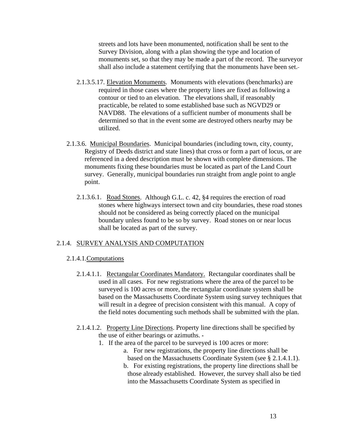<span id="page-19-0"></span>streets and lots have been monumented, notification shall be sent to the Survey Division, along with a plan showing the type and location of monuments set, so that they may be made a part of the record. The surveyor shall also include a statement certifying that the monuments have been set.

- 2.1.3.5.17. Elevation Monuments. Monuments with elevations (benchmarks) are required in those cases where the property lines are fixed as following a contour or tied to an elevation. The elevations shall, if reasonably practicable, be related to some established base such as NGVD29 or NAVD88. The elevations of a sufficient number of monuments shall be determined so that in the event some are destroyed others nearby may be utilized.
- 2.1.3.6. Municipal Boundaries. Municipal boundaries (including town, city, county, Registry of Deeds district and state lines) that cross or form a part of locus, or are referenced in a deed description must be shown with complete dimensions. The monuments fixing these boundaries must be located as part of the Land Court survey. Generally, municipal boundaries run straight from angle point to angle point.
	- 2.1.3.6.1. Road Stones. Although G.L. c. 42, §4 requires the erection of road stones where highways intersect town and city boundaries, these road stones should not be considered as being correctly placed on the municipal boundary unless found to be so by survey. Road stones on or near locus shall be located as part of the survey.

# 2.1.4. SURVEY ANALYSIS AND COMPUTATION

#### 2.1.4.1.Computations

- 2.1.4.1.1. Rectangular Coordinates Mandatory. Rectangular coordinates shall be used in all cases. For new registrations where the area of the parcel to be surveyed is 100 acres or more, the rectangular coordinate system shall be based on the Massachusetts Coordinate System using survey techniques that will result in a degree of precision consistent with this manual. A copy of the field notes documenting such methods shall be submitted with the plan.
- 2.1.4.1.2. Property Line Directions. Property line directions shall be specified by the use of either bearings or azimuths.
	- 1. If the area of the parcel to be surveyed is 100 acres or more:
		- a. For new registrations, the property line directions shall be based on the Massachusetts Coordinate System (see § 2.1.4.1.1).
		- b. For existing registrations, the property line directions shall be those already established. However, the survey shall also be tied into the Massachusetts Coordinate System as specified in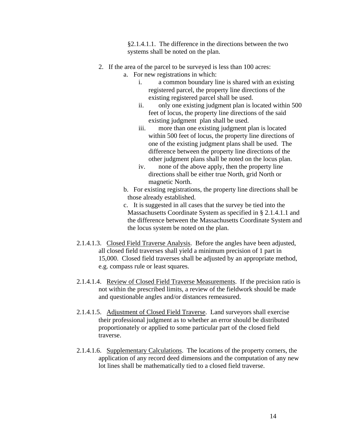§2.1.4.1.1. The difference in the directions between the two systems shall be noted on the plan.

- <span id="page-20-0"></span>2. If the area of the parcel to be surveyed is less than 100 acres:
	- a. For new registrations in which:
		- i. a common boundary line is shared with an existing registered parcel, the property line directions of the existing registered parcel shall be used.
		- ii. only one existing judgment plan is located within 500 feet of locus, the property line directions of the said existing judgment plan shall be used.
		- iii. more than one existing judgment plan is located within 500 feet of locus, the property line directions of one of the existing judgment plans shall be used. The difference between the property line directions of the other judgment plans shall be noted on the locus plan.
		- iv. none of the above apply, then the property line directions shall be either true North, grid North or magnetic North.
	- b. For existing registrations, the property line directions shall be those already established.
	- c. It is suggested in all cases that the survey be tied into the Massachusetts Coordinate System as specified in § 2.1.4.1.1 and the difference between the Massachusetts Coordinate System and the locus system be noted on the plan.
- 2.1.4.1.3. Closed Field Traverse Analysis. Before the angles have been adjusted, all closed field traverses shall yield a minimum precision of 1 part in 15,000. Closed field traverses shall be adjusted by an appropriate method, e.g. compass rule or least squares.
- 2.1.4.1.4. Review of Closed Field Traverse Measurements. If the precision ratio is not within the prescribed limits, a review of the fieldwork should be made and questionable angles and/or distances remeasured.
- 2.1.4.1.5. Adjustment of Closed Field Traverse. Land surveyors shall exercise their professional judgment as to whether an error should be distributed proportionately or applied to some particular part of the closed field traverse.
- 2.1.4.1.6. Supplementary Calculations. The locations of the property corners, the application of any record deed dimensions and the computation of any new lot lines shall be mathematically tied to a closed field traverse.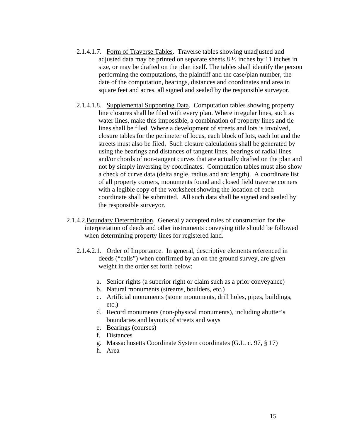- <span id="page-21-0"></span>2.1.4.1.7. Form of Traverse Tables. Traverse tables showing unadjusted and adjusted data may be printed on separate sheets 8 ½ inches by 11 inches in size, or may be drafted on the plan itself. The tables shall identify the person performing the computations, the plaintiff and the case/plan number, the date of the computation, bearings, distances and coordinates and area in square feet and acres, all signed and sealed by the responsible surveyor.
- 2.1.4.1.8. Supplemental Supporting Data. Computation tables showing property line closures shall be filed with every plan. Where irregular lines, such as water lines, make this impossible, a combination of property lines and tie lines shall be filed. Where a development of streets and lots is involved, closure tables for the perimeter of locus, each block of lots, each lot and the streets must also be filed. Such closure calculations shall be generated by using the bearings and distances of tangent lines, bearings of radial lines and/or chords of non-tangent curves that are actually drafted on the plan and not by simply inversing by coordinates. Computation tables must also show a check of curve data (delta angle, radius and arc length). A coordinate list of all property corners, monuments found and closed field traverse corners with a legible copy of the worksheet showing the location of each coordinate shall be submitted. All such data shall be signed and sealed by the responsible surveyor.
- 2.1.4.2.Boundary Determination. Generally accepted rules of construction for the interpretation of deeds and other instruments conveying title should be followed when determining property lines for registered land.
	- 2.1.4.2.1. Order of Importance. In general, descriptive elements referenced in deeds ("calls") when confirmed by an on the ground survey, are given weight in the order set forth below:
		- a. Senior rights (a superior right or claim such as a prior conveyance)
		- b. Natural monuments (streams, boulders, etc.)
		- c. Artificial monuments (stone monuments, drill holes, pipes, buildings, etc.)
		- d. Record monuments (non-physical monuments), including abutter's boundaries and layouts of streets and ways
		- e. Bearings (courses)
		- f. Distances
		- g. Massachusetts Coordinate System coordinates (G.L. c. 97, § 17)
		- h. Area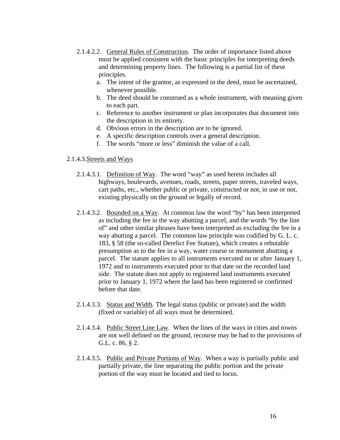- <span id="page-22-0"></span>2.1.4.2.2. General Rules of Construction. The order of importance listed above must be applied consistent with the basic principles for interpreting deeds and determining property lines. The following is a partial list of these principles.
	- a. The intent of the grantor, as expressed in the deed, must be ascertained, whenever possible.
	- b. The deed should be construed as a whole instrument, with meaning given to each part.
	- c. Reference to another instrument or plan incorporates that document into the description in its entirety.
	- d. Obvious errors in the description are to be ignored.
	- e. A specific description controls over a general description.
	- f. The words "more or less" diminish the value of a call.

#### 2.1.4.3.Streets and Ways

- 2.1.4.3.1. Definition of Way. The word "way" as used herein includes all highways, boulevards, avenues, roads, streets, paper streets, traveled ways, cart paths, etc., whether public or private, constructed or not, in use or not, existing physically on the ground or legally of record.
- 2.1.4.3.2. Bounded on a Way. At common law the word "by" has been interpreted as including the fee in the way abutting a parcel, and the words "by the line of" and other similar phrases have been interpreted as excluding the fee in a way abutting a parcel. The common law principle was codified by G. L. c. 183, § 58 (the so-called Derelict Fee Statute), which creates a rebutable presumption as to the fee in a way, water course or monument abutting a parcel. The statute applies to all instruments executed on or after January 1, 1972 and to instruments executed prior to that date on the recorded land side. The statute does not apply to registered land instruments executed prior to January 1, 1972 where the land has been registered or confirmed before that date.
- 2.1.4.3.3. Status and Width. The legal status (public or private) and the width (fixed or variable) of all ways must be determined.
- 2.1.4.3.4. Public Street Line Law. When the lines of the ways in cities and towns are not well defined on the ground, recourse may be had to the provisions of G.L. c. 86, § 2.
- 2.1.4.3.5. Public and Private Portions of Way. When a way is partially public and partially private, the line separating the public portion and the private portion of the way must be located and tied to locus.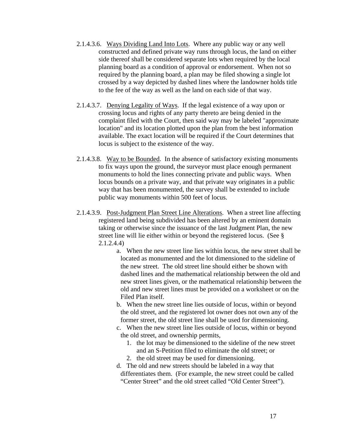- <span id="page-23-0"></span>2.1.4.3.6. Ways Dividing Land Into Lots. Where any public way or any well constructed and defined private way runs through locus, the land on either side thereof shall be considered separate lots when required by the local planning board as a condition of approval or endorsement. When not so required by the planning board, a plan may be filed showing a single lot crossed by a way depicted by dashed lines where the landowner holds title to the fee of the way as well as the land on each side of that way.
- 2.1.4.3.7. Denying Legality of Ways. If the legal existence of a way upon or crossing locus and rights of any party thereto are being denied in the complaint filed with the Court, then said way may be labeled "approximate location" and its location plotted upon the plan from the best information available. The exact location will be required if the Court determines that locus is subject to the existence of the way.
- 2.1.4.3.8. Way to be Bounded. In the absence of satisfactory existing monuments to fix ways upon the ground, the surveyor must place enough permanent monuments to hold the lines connecting private and public ways. When locus bounds on a private way, and that private way originates in a public way that has been monumented, the survey shall be extended to include public way monuments within 500 feet of locus.
- 2.1.4.3.9. Post-Judgment Plan Street Line Alterations. When a street line affecting registered land being subdivided has been altered by an eminent domain taking or otherwise since the issuance of the last Judgment Plan, the new street line will lie either within or beyond the registered locus. (See § 2.1.2.4.4)
	- a. When the new street line lies within locus, the new street shall be located as monumented and the lot dimensioned to the sideline of the new street. The old street line should either be shown with dashed lines and the mathematical relationship between the old and new street lines given, or the mathematical relationship between the old and new street lines must be provided on a worksheet or on the Filed Plan itself.
	- b. When the new street line lies outside of locus, within or beyond the old street, and the registered lot owner does not own any of the former street, the old street line shall be used for dimensioning.
	- c. When the new street line lies outside of locus, within or beyond the old street, and ownership permits,
		- 1. the lot may be dimensioned to the sideline of the new street and an S-Petition filed to eliminate the old street; or
		- 2. the old street may be used for dimensioning.
	- d. The old and new streets should be labeled in a way that differentiates them. (For example, the new street could be called "Center Street" and the old street called "Old Center Street").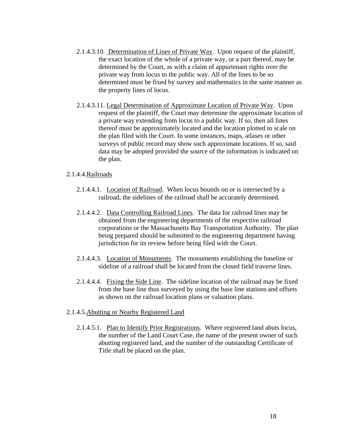- <span id="page-24-0"></span>2.1.4.3.10. Determination of Lines of Private Way. Upon request of the plaintiff, the exact location of the whole of a private way, or a part thereof, may be determined by the Court, as with a claim of appurtenant rights over the private way from locus to the public way. All of the lines to be so determined must be fixed by survey and mathematics in the same manner as the property lines of locus.
- 2.1.4.3.11. Legal Determination of Approximate Location of Private Way. Upon request of the plaintiff, the Court may determine the approximate location of a private way extending from locus to a public way. If so, then all lines thereof must be approximately located and the location plotted to scale on the plan filed with the Court. In some instances, maps, atlases or other surveys of public record may show such approximate locations. If so, said data may be adopted provided the source of the information is indicated on the plan.

# 2.1.4.4.Railroads

- 2.1.4.4.1. Location of Railroad. When locus bounds on or is intersected by a railroad, the sidelines of the railroad shall be accurately determined.
- 2.1.4.4.2. Data Controlling Railroad Lines. The data for railroad lines may be obtained from the engineering departments of the respective railroad corporations or the Massachusetts Bay Transportation Authority. The plan being prepared should be submitted to the engineering department having jurisdiction for its review before being filed with the Court.
- 2.1.4.4.3. Location of Monuments. The monuments establishing the baseline or sideline of a railroad shall be located from the closed field traverse lines.
- 2.1.4.4.4. Fixing the Side Line. The sideline location of the railroad may be fixed from the base line thus surveyed by using the base line stations and offsets as shown on the railroad location plans or valuation plans.
- 2.1.4.5.Abutting or Nearby Registered Land
	- 2.1.4.5.1. Plan to Identify Prior Registrations. Where registered land abuts locus, the number of the Land Court Case, the name of the present owner of such abutting registered land, and the number of the outstanding Certificate of Title shall be placed on the plan.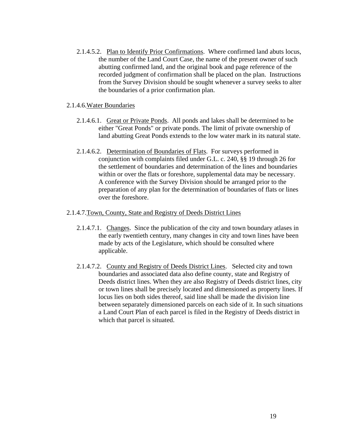<span id="page-25-0"></span>2.1.4.5.2. Plan to Identify Prior Confirmations. Where confirmed land abuts locus, the number of the Land Court Case, the name of the present owner of such abutting confirmed land, and the original book and page reference of the recorded judgment of confirmation shall be placed on the plan. Instructions from the Survey Division should be sought whenever a survey seeks to alter the boundaries of a prior confirmation plan.

# 2.1.4.6.Water Boundaries

- 2.1.4.6.1. Great or Private Ponds. All ponds and lakes shall be determined to be either "Great Ponds" or private ponds. The limit of private ownership of land abutting Great Ponds extends to the low water mark in its natural state.
- 2.1.4.6.2. Determination of Boundaries of Flats. For surveys performed in conjunction with complaints filed under G.L. c. 240, §§ 19 through 26 for the settlement of boundaries and determination of the lines and boundaries within or over the flats or foreshore, supplemental data may be necessary. A conference with the Survey Division should be arranged prior to the preparation of any plan for the determination of boundaries of flats or lines over the foreshore.

#### 2.1.4.7.Town, County, State and Registry of Deeds District Lines

- 2.1.4.7.1. Changes. Since the publication of the city and town boundary atlases in the early twentieth century, many changes in city and town lines have been made by acts of the Legislature, which should be consulted where applicable.
- 2.1.4.7.2. County and Registry of Deeds District Lines. Selected city and town boundaries and associated data also define county, state and Registry of Deeds district lines. When they are also Registry of Deeds district lines, city or town lines shall be precisely located and dimensioned as property lines. If locus lies on both sides thereof, said line shall be made the division line between separately dimensioned parcels on each side of it. In such situations a Land Court Plan of each parcel is filed in the Registry of Deeds district in which that parcel is situated.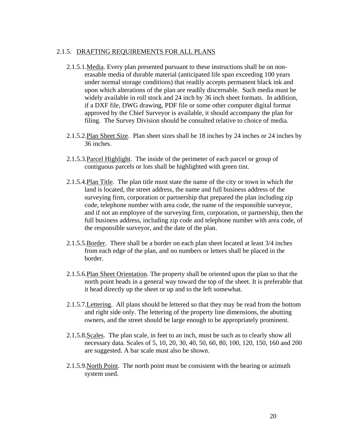# <span id="page-26-0"></span>2.1.5. DRAFTING REQUIREMENTS FOR ALL PLANS

- 2.1.5.1.Media. Every plan presented pursuant to these instructions shall be on nonerasable media of durable material (anticipated life span exceeding 100 years under normal storage conditions) that readily accepts permanent black ink and upon which alterations of the plan are readily discernable. Such media must be widely available in roll stock and 24 inch by 36 inch sheet formats. In addition, if a DXF file, DWG drawing, PDF file or some other computer digital format approved by the Chief Surveyor is available, it should accompany the plan for filing. The Survey Division should be consulted relative to choice of media.
- 2.1.5.2.Plan Sheet Size. Plan sheet sizes shall be 18 inches by 24 inches or 24 inches by 36 inches.
- 2.1.5.3.Parcel Highlight. The inside of the perimeter of each parcel or group of contiguous parcels or lots shall be highlighted with green tint.
- 2.1.5.4.Plan Title. The plan title must state the name of the city or town in which the land is located, the street address, the name and full business address of the surveying firm, corporation or partnership that prepared the plan including zip code, telephone number with area code, the name of the responsible surveyor, and if not an employee of the surveying firm, corporation, or partnership, then the full business address, including zip code and telephone number with area code, of the responsible surveyor, and the date of the plan.
- 2.1.5.5.Border. There shall be a border on each plan sheet located at least 3/4 inches from each edge of the plan, and no numbers or letters shall be placed in the border.
- 2.1.5.6.Plan Sheet Orientation. The property shall be oriented upon the plan so that the north point heads in a general way toward the top of the sheet. It is preferable that it head directly up the sheet or up and to the left somewhat.
- 2.1.5.7.Lettering. All plans should be lettered so that they may be read from the bottom and right side only. The lettering of the property line dimensions, the abutting owners, and the street should be large enough to be appropriately prominent.
- 2.1.5.8.Scales. The plan scale, in feet to an inch, must be such as to clearly show all necessary data. Scales of 5, 10, 20, 30, 40, 50, 60, 80, 100, 120, 150, 160 and 200 are suggested. A bar scale must also be shown.
- 2.1.5.9.North Point. The north point must be consistent with the bearing or azimuth system used.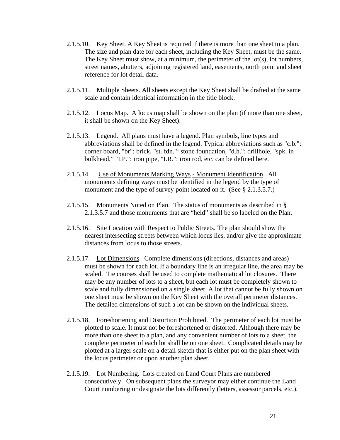- <span id="page-27-0"></span>2.1.5.10. Key Sheet. A Key Sheet is required if there is more than one sheet to a plan. The size and plan date for each sheet, including the Key Sheet, must be the same. The Key Sheet must show, at a minimum, the perimeter of the lot(s), lot numbers, street names, abutters, adjoining registered land, easements, north point and sheet reference for lot detail data.
- 2.1.5.11. Multiple Sheets. All sheets except the Key Sheet shall be drafted at the same scale and contain identical information in the title block.
- 2.1.5.12. Locus Map. A locus map shall be shown on the plan (if more than one sheet, it shall be shown on the Key Sheet).
- 2.1.5.13. Legend. All plans must have a legend. Plan symbols, line types and abbreviations shall be defined in the legend. Typical abbreviations such as "c.b.": corner board, "br": brick, "st. fdn.": stone foundation, "d.h.": drillhole, "spk. in bulkhead," "I.P.": iron pipe, "I.R.": iron rod, etc. can be defined here.
- 2.1.5.14. Use of Monuments Marking Ways Monument Identification. All monuments defining ways must be identified in the legend by the type of monument and the type of survey point located on it. (See § 2.1.3.5.7.)
- 2.1.5.15. Monuments Noted on Plan. The status of monuments as described in § 2.1.3.5.7 and those monuments that are "held" shall be so labeled on the Plan.
- 2.1.5.16. Site Location with Respect to Public Streets. The plan should show the nearest intersecting streets between which locus lies, and/or give the approximate distances from locus to those streets.
- 2.1.5.17. Lot Dimensions. Complete dimensions (directions, distances and areas) must be shown for each lot. If a boundary line is an irregular line, the area may be scaled. Tie courses shall be used to complete mathematical lot closures. There may be any number of lots to a sheet, but each lot must be completely shown to scale and fully dimensioned on a single sheet. A lot that cannot be fully shown on one sheet must be shown on the Key Sheet with the overall perimeter distances. The detailed dimensions of such a lot can be shown on the individual sheets.
- 2.1.5.18. Foreshortening and Distortion Prohibited. The perimeter of each lot must be plotted to scale. It must not be foreshortened or distorted. Although there may be more than one sheet to a plan, and any convenient number of lots to a sheet, the complete perimeter of each lot shall be on one sheet. Complicated details may be plotted at a larger scale on a detail sketch that is either put on the plan sheet with the locus perimeter or upon another plan sheet.
- 2.1.5.19. Lot Numbering. Lots created on Land Court Plans are numbered consecutively. On subsequent plans the surveyor may either continue the Land Court numbering or designate the lots differently (letters, assessor parcels, etc.).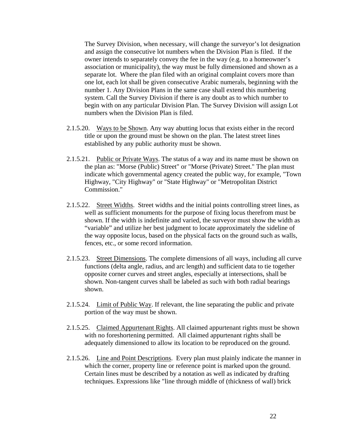<span id="page-28-0"></span>The Survey Division, when necessary, will change the surveyor's lot designation and assign the consecutive lot numbers when the Division Plan is filed. If the owner intends to separately convey the fee in the way (e.g. to a homeowner's association or municipality), the way must be fully dimensioned and shown as a separate lot. Where the plan filed with an original complaint covers more than one lot, each lot shall be given consecutive Arabic numerals, beginning with the number 1. Any Division Plans in the same case shall extend this numbering system. Call the Survey Division if there is any doubt as to which number to begin with on any particular Division Plan. The Survey Division will assign Lot numbers when the Division Plan is filed.

- 2.1.5.20. Ways to be Shown. Any way abutting locus that exists either in the record title or upon the ground must be shown on the plan. The latest street lines established by any public authority must be shown.
- 2.1.5.21. Public or Private Ways. The status of a way and its name must be shown on the plan as: "Morse (Public) Street" or "Morse (Private) Street." The plan must indicate which governmental agency created the public way, for example, "Town Highway, "City Highway" or "State Highway" or "Metropolitan District Commission."
- 2.1.5.22. Street Widths. Street widths and the initial points controlling street lines, as well as sufficient monuments for the purpose of fixing locus therefrom must be shown. If the width is indefinite and varied, the surveyor must show the width as "variable" and utilize her best judgment to locate approximately the sideline of the way opposite locus, based on the physical facts on the ground such as walls, fences, etc., or some record information.
- 2.1.5.23. Street Dimensions. The complete dimensions of all ways, including all curve functions (delta angle, radius, and arc length) and sufficient data to tie together opposite corner curves and street angles, especially at intersections, shall be shown. Non-tangent curves shall be labeled as such with both radial bearings shown.
- 2.1.5.24. Limit of Public Way. If relevant, the line separating the public and private portion of the way must be shown.
- 2.1.5.25. Claimed Appurtenant Rights. All claimed appurtenant rights must be shown with no foreshortening permitted. All claimed appurtenant rights shall be adequately dimensioned to allow its location to be reproduced on the ground.
- 2.1.5.26. Line and Point Descriptions. Every plan must plainly indicate the manner in which the corner, property line or reference point is marked upon the ground. Certain lines must be described by a notation as well as indicated by drafting techniques. Expressions like "line through middle of (thickness of wall) brick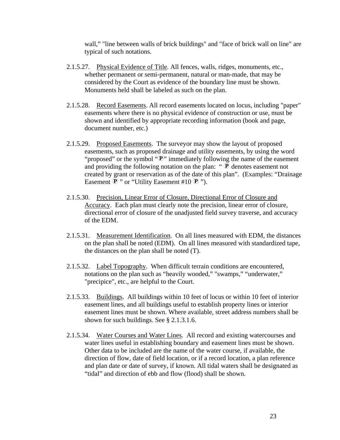wall," "line between walls of brick buildings" and "face of brick wall on line" are typical of such notations.

- <span id="page-29-0"></span>2.1.5.27. Physical Evidence of Title. All fences, walls, ridges, monuments, etc., whether permanent or semi-permanent, natural or man-made, that may be considered by the Court as evidence of the boundary line must be shown. Monuments held shall be labeled as such on the plan.
- 2.1.5.28. Record Easements. All record easements located on locus, including "paper" easements where there is no physical evidence of construction or use, must be shown and identified by appropriate recording information (book and page, document number, etc.)
- 2.1.5.29. Proposed Easements. The surveyor may show the layout of proposed easements, such as proposed drainage and utility easements, by using the word "proposed" or the symbol " $\mathbb{P}$ " immediately following the name of the easement and providing the following notation on the plan: " $\mathcal{P}$  denotes easement not created by grant or reservation as of the date of this plan". (Examples: "Drainage Easement  $\mathbf{P}$  " or "Utility Easement #10  $\mathbf{P}$  ").
- 2.1.5.30. Precision, Linear Error of Closure, Directional Error of Closure and Accuracy. Each plan must clearly note the precision, linear error of closure, directional error of closure of the unadjusted field survey traverse, and accuracy of the EDM.
- 2.1.5.31. Measurement Identification. On all lines measured with EDM, the distances on the plan shall be noted (EDM). On all lines measured with standardized tape, the distances on the plan shall be noted (T).
- 2.1.5.32. Label Topography. When difficult terrain conditions are encountered, notations on the plan such as "heavily wooded," "swamps," "underwater," "precipice", etc., are helpful to the Court.
- 2.1.5.33. Buildings. All buildings within 10 feet of locus or within 10 feet of interior easement lines, and all buildings useful to establish property lines or interior easement lines must be shown. Where available, street address numbers shall be shown for such buildings. See § 2.1.3.1.6.
- 2.1.5.34. Water Courses and Water Lines. All record and existing watercourses and water lines useful in establishing boundary and easement lines must be shown. Other data to be included are the name of the water course, if available, the direction of flow, date of field location, or if a record location, a plan reference and plan date or date of survey, if known. All tidal waters shall be designated as "tidal" and direction of ebb and flow (flood) shall be shown.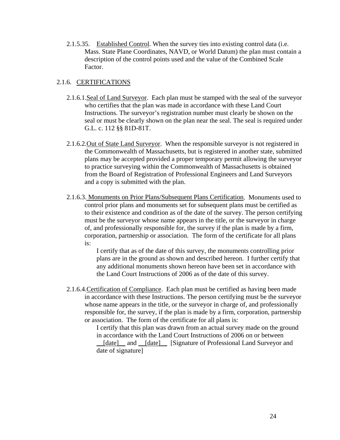<span id="page-30-0"></span>2.1.5.35. Established Control. When the survey ties into existing control data (i.e. Mass. State Plane Coordinates, NAVD, or World Datum) the plan must contain a description of the control points used and the value of the Combined Scale Factor.

# 2.1.6. CERTIFICATIONS

- 2.1.6.1.Seal of Land Surveyor. Each plan must be stamped with the seal of the surveyor who certifies that the plan was made in accordance with these Land Court Instructions. The surveyor's registration number must clearly be shown on the seal or must be clearly shown on the plan near the seal. The seal is required under G.L. c. 112 §§ 81D-81T.
- 2.1.6.2. Out of State Land Surveyor. When the responsible surveyor is not registered in the Commonwealth of Massachusetts, but is registered in another state, submitted plans may be accepted provided a proper temporary permit allowing the surveyor to practice surveying within the Commonwealth of Massachusetts is obtained from the Board of Registration of Professional Engineers and Land Surveyors and a copy is submitted with the plan.
- 2.1.6.3. Monuments on Prior Plans/Subsequent Plans Certification. Monuments used to control prior plans and monuments set for subsequent plans must be certified as to their existence and condition as of the date of the survey. The person certifying must be the surveyor whose name appears in the title, or the surveyor in charge of, and professionally responsible for, the survey if the plan is made by a firm, corporation, partnership or association. The form of the certificate for all plans is:

I certify that as of the date of this survey, the monuments controlling prior plans are in the ground as shown and described hereon. I further certify that any additional monuments shown hereon have been set in accordance with the Land Court Instructions of 2006 as of the date of this survey.

2.1.6.4.Certification of Compliance. Each plan must be certified as having been made in accordance with these Instructions. The person certifying must be the surveyor whose name appears in the title, or the surveyor in charge of, and professionally responsible for, the survey, if the plan is made by a firm, corporation, partnership or association. The form of the certificate for all plans is:

I certify that this plan was drawn from an actual survey made on the ground in accordance with the Land Court Instructions of 2006 on or between \_\_[date]\_\_ and \_\_[date]\_\_ [Signature of Professional Land Surveyor and date of signature]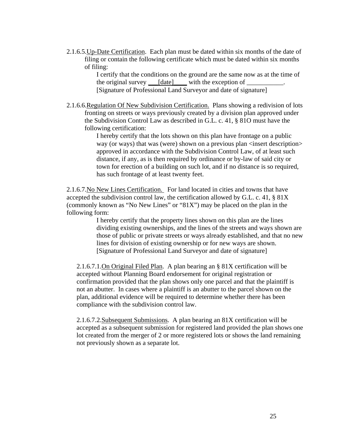<span id="page-31-0"></span>2.1.6.5.Up-Date Certification. Each plan must be dated within six months of the date of filing or contain the following certificate which must be dated within six months of filing:

> I certify that the conditions on the ground are the same now as at the time of the original survey  $\Box$  [date] with the exception of  $\Box$ [Signature of Professional Land Surveyor and date of signature]

2.1.6.6.Regulation Of New Subdivision Certification. Plans showing a redivision of lots fronting on streets or ways previously created by a division plan approved under the Subdivision Control Law as described in G.L. c. 41, § 81O must have the following certification:

> I hereby certify that the lots shown on this plan have frontage on a public way (or ways) that was (were) shown on a previous plan <insert description> approved in accordance with the Subdivision Control Law, of at least such distance, if any, as is then required by ordinance or by-law of said city or town for erection of a building on such lot, and if no distance is so required, has such frontage of at least twenty feet.

2.1.6.7.No New Lines Certification. For land located in cities and towns that have accepted the subdivision control law, the certification allowed by G.L. c. 41, § 81X (commonly known as "No New Lines" or "81X") may be placed on the plan in the following form:

> I hereby certify that the property lines shown on this plan are the lines dividing existing ownerships, and the lines of the streets and ways shown are those of public or private streets or ways already established, and that no new lines for division of existing ownership or for new ways are shown. [Signature of Professional Land Surveyor and date of signature]

2.1.6.7.1.On Original Filed Plan. A plan bearing an § 81X certification will be accepted without Planning Board endorsement for original registration or confirmation provided that the plan shows only one parcel and that the plaintiff is not an abutter. In cases where a plaintiff is an abutter to the parcel shown on the plan, additional evidence will be required to determine whether there has been compliance with the subdivision control law.

2.1.6.7.2.Subsequent Submissions. A plan bearing an 81X certification will be accepted as a subsequent submission for registered land provided the plan shows one lot created from the merger of 2 or more registered lots or shows the land remaining not previously shown as a separate lot.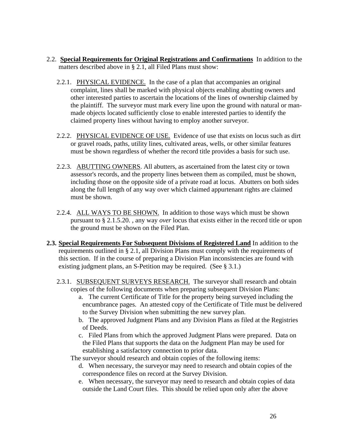- <span id="page-32-0"></span>2.2. **Special Requirements for Original Registrations and Confirmations** In addition to the matters described above in § 2.1, all Filed Plans must show:
	- 2.2.1. PHYSICAL EVIDENCE. In the case of a plan that accompanies an original complaint, lines shall be marked with physical objects enabling abutting owners and other interested parties to ascertain the locations of the lines of ownership claimed by the plaintiff. The surveyor must mark every line upon the ground with natural or manmade objects located sufficiently close to enable interested parties to identify the claimed property lines without having to employ another surveyor.
	- 2.2.2. PHYSICAL EVIDENCE OF USE. Evidence of use that exists on locus such as dirt or gravel roads, paths, utility lines, cultivated areas, wells, or other similar features must be shown regardless of whether the record title provides a basis for such use.
	- 2.2.3. ABUTTING OWNERS. All abutters, as ascertained from the latest city or town assessor's records, and the property lines between them as compiled, must be shown, including those on the opposite side of a private road at locus. Abutters on both sides along the full length of any way over which claimed appurtenant rights are claimed must be shown.
	- 2.2.4. ALL WAYS TO BE SHOWN. In addition to those ways which must be shown pursuant to § 2.1.5.20. , any way *over* locus that exists either in the record title or upon the ground must be shown on the Filed Plan.
- **2.3. Special Requirements For Subsequent Divisions of Registered Land** In addition to the requirements outlined in § 2.1, all Division Plans must comply with the requirements of this section. If in the course of preparing a Division Plan inconsistencies are found with existing judgment plans, an S-Petition may be required. (See § 3.1.)
	- 2.3.1. SUBSEQUENT SURVEYS RESEARCH. The surveyor shall research and obtain copies of the following documents when preparing subsequent Division Plans:
		- a. The current Certificate of Title for the property being surveyed including the encumbrance pages. An attested copy of the Certificate of Title must be delivered to the Survey Division when submitting the new survey plan.
		- b. The approved Judgment Plans and any Division Plans as filed at the Registries of Deeds.
		- c. Filed Plans from which the approved Judgment Plans were prepared. Data on the Filed Plans that supports the data on the Judgment Plan may be used for establishing a satisfactory connection to prior data.
		- The surveyor should research and obtain copies of the following items:
			- d. When necessary, the surveyor may need to research and obtain copies of the correspondence files on record at the Survey Division.
			- e. When necessary, the surveyor may need to research and obtain copies of data outside the Land Court files. This should be relied upon only after the above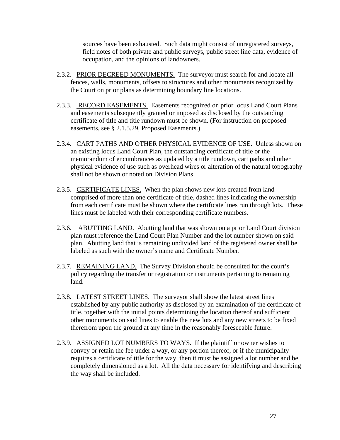sources have been exhausted. Such data might consist of unregistered surveys, field notes of both private and public surveys, public street line data, evidence of occupation, and the opinions of landowners.

- <span id="page-33-0"></span>2.3.2. PRIOR DECREED MONUMENTS. The surveyor must search for and locate all fences, walls, monuments, offsets to structures and other monuments recognized by the Court on prior plans as determining boundary line locations.
- 2.3.3. RECORD EASEMENTS. Easements recognized on prior locus Land Court Plans and easements subsequently granted or imposed as disclosed by the outstanding certificate of title and title rundown must be shown. (For instruction on proposed easements, see § 2.1.5.29, Proposed Easements.)
- 2.3.4. CART PATHS AND OTHER PHYSICAL EVIDENCE OF USE. Unless shown on an existing locus Land Court Plan, the outstanding certificate of title or the memorandum of encumbrances as updated by a title rundown, cart paths and other physical evidence of use such as overhead wires or alteration of the natural topography shall not be shown or noted on Division Plans.
- 2.3.5. CERTIFICATE LINES. When the plan shows new lots created from land comprised of more than one certificate of title, dashed lines indicating the ownership from each certificate must be shown where the certificate lines run through lots. These lines must be labeled with their corresponding certificate numbers.
- 2.3.6. ABUTTING LAND. Abutting land that was shown on a prior Land Court division plan must reference the Land Court Plan Number and the lot number shown on said plan. Abutting land that is remaining undivided land of the registered owner shall be labeled as such with the owner's name and Certificate Number.
- 2.3.7. REMAINING LAND. The Survey Division should be consulted for the court's policy regarding the transfer or registration or instruments pertaining to remaining land.
- 2.3.8. LATEST STREET LINES. The surveyor shall show the latest street lines established by any public authority as disclosed by an examination of the certificate of title, together with the initial points determining the location thereof and sufficient other monuments on said lines to enable the new lots and any new streets to be fixed therefrom upon the ground at any time in the reasonably foreseeable future.
- 2.3.9. ASSIGNED LOT NUMBERS TO WAYS. If the plaintiff or owner wishes to convey or retain the fee under a way, or any portion thereof, or if the municipality requires a certificate of title for the way, then it must be assigned a lot number and be completely dimensioned as a lot. All the data necessary for identifying and describing the way shall be included.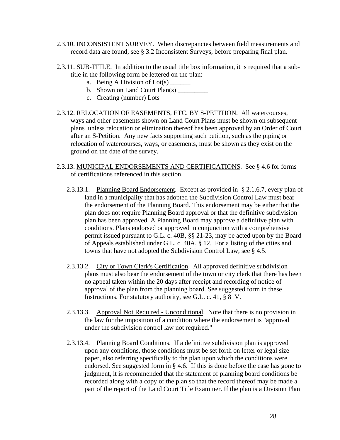- <span id="page-34-0"></span>2.3.10. INCONSISTENT SURVEY. When discrepancies between field measurements and record data are found, see § 3.2 Inconsistent Surveys, before preparing final plan.
- 2.3.11. SUB-TITLE. In addition to the usual title box information, it is required that a subtitle in the following form be lettered on the plan:
	- a. Being A Division of Lot(s)  $\overline{\phantom{a}}$
	- b. Shown on Land Court  $Plan(s)$
	- c. Creating (number) Lots
- 2.3.12. RELOCATION OF EASEMENTS, ETC. BY S-PETITION. All watercourses, ways and other easements shown on Land Court Plans must be shown on subsequent plans unless relocation or elimination thereof has been approved by an Order of Court after an S-Petition. Any new facts supporting such petition, such as the piping or relocation of watercourses, ways, or easements, must be shown as they exist on the ground on the date of the survey.
- 2.3.13. MUNICIPAL ENDORSEMENTS AND CERTIFICATIONS. See § 4.6 for forms of certifications referenced in this section.
	- 2.3.13.1. Planning Board Endorsement. Except as provided in § 2.1.6.7, every plan of land in a municipality that has adopted the Subdivision Control Law must bear the endorsement of the Planning Board. This endorsement may be either that the plan does not require Planning Board approval or that the definitive subdivision plan has been approved. A Planning Board may approve a definitive plan with conditions. Plans endorsed or approved in conjunction with a comprehensive permit issued pursuant to G.L. c. 40B, §§ 21-23, may be acted upon by the Board of Appeals established under G.L. c. 40A, § 12. For a listing of the cities and towns that have not adopted the Subdivision Control Law, see § 4.5.
	- 2.3.13.2. City or Town Clerk's Certification. All approved definitive subdivision plans must also bear the endorsement of the town or city clerk that there has been no appeal taken within the 20 days after receipt and recording of notice of approval of the plan from the planning board. See suggested form in these Instructions. For statutory authority, see G.L. c. 41, § 81V.
	- 2.3.13.3. Approval Not Required Unconditional. Note that there is no provision in the law for the imposition of a condition where the endorsement is "approval under the subdivision control law not required."
	- 2.3.13.4. Planning Board Conditions. If a definitive subdivision plan is approved upon any conditions, those conditions must be set forth on letter or legal size paper, also referring specifically to the plan upon which the conditions were endorsed. See suggested form in § 4.6. If this is done before the case has gone to judgment, it is recommended that the statement of planning board conditions be recorded along with a copy of the plan so that the record thereof may be made a part of the report of the Land Court Title Examiner. If the plan is a Division Plan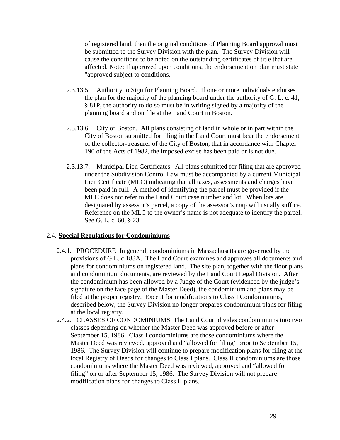<span id="page-35-0"></span>of registered land, then the original conditions of Planning Board approval must be submitted to the Survey Division with the plan. The Survey Division will cause the conditions to be noted on the outstanding certificates of title that are affected. Note: If approved upon conditions, the endorsement on plan must state "approved subject to conditions.

- 2.3.13.5. Authority to Sign for Planning Board. If one or more individuals endorses the plan for the majority of the planning board under the authority of G. L. c. 41, § 81P, the authority to do so must be in writing signed by a majority of the planning board and on file at the Land Court in Boston.
- 2.3.13.6. City of Boston. All plans consisting of land in whole or in part within the City of Boston submitted for filing in the Land Court must bear the endorsement of the collector-treasurer of the City of Boston, that in accordance with Chapter 190 of the Acts of 1982, the imposed excise has been paid or is not due.
- 2.3.13.7. Municipal Lien Certificates. All plans submitted for filing that are approved under the Subdivision Control Law must be accompanied by a current Municipal Lien Certificate (MLC) indicating that all taxes, assessments and charges have been paid in full. A method of identifying the parcel must be provided if the MLC does not refer to the Land Court case number and lot. When lots are designated by assessor's parcel, a copy of the assessor's map will usually suffice. Reference on the MLC to the owner's name is not adequate to identify the parcel. See G. L. c. 60, § 23.

# 2.4. **Special Regulations for Condominiums**

- 2.4.1. PROCEDURE In general, condominiums in Massachusetts are governed by the provisions of G.L. c.183A. The Land Court examines and approves all documents and plans for condominiums on registered land. The site plan, together with the floor plans and condominium documents, are reviewed by the Land Court Legal Division. After the condominium has been allowed by a Judge of the Court (evidenced by the judge's signature on the face page of the Master Deed), the condominium and plans may be filed at the proper registry. Except for modifications to Class I Condominiums, described below, the Survey Division no longer prepares condominium plans for filing at the local registry.
- 2.4.2. CLASSES OF CONDOMINIUMS The Land Court divides condominiums into two classes depending on whether the Master Deed was approved before or after September 15, 1986. Class I condominiums are those condominiums where the Master Deed was reviewed, approved and "allowed for filing" prior to September 15, 1986. The Survey Division will continue to prepare modification plans for filing at the local Registry of Deeds for changes to Class I plans. Class II condominiums are those condominiums where the Master Deed was reviewed, approved and "allowed for filing" on or after September 15, 1986. The Survey Division will not prepare modification plans for changes to Class II plans.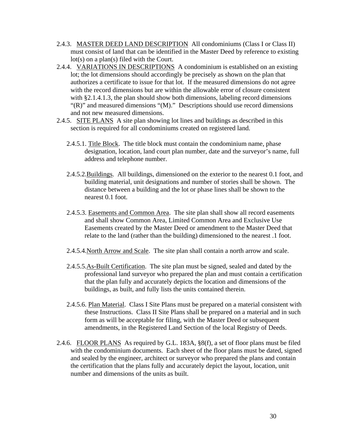- <span id="page-36-0"></span>2.4.3. MASTER DEED LAND DESCRIPTION All condominiums (Class I or Class II) must consist of land that can be identified in the Master Deed by reference to existing lot(s) on a plan(s) filed with the Court.
- 2.4.4. VARIATIONS IN DESCRIPTIONS A condominium is established on an existing lot; the lot dimensions should accordingly be precisely as shown on the plan that authorizes a certificate to issue for that lot. If the measured dimensions do not agree with the record dimensions but are within the allowable error of closure consistent with §2.1.4.1.3, the plan should show both dimensions, labeling record dimensions "(R)" and measured dimensions "(M)." Descriptions should use record dimensions and not new measured dimensions.
- 2.4.5. SITE PLANS A site plan showing lot lines and buildings as described in this section is required for all condominiums created on registered land.
	- 2.4.5.1. Title Block. The title block must contain the condominium name, phase designation, location, land court plan number, date and the surveyor's name, full address and telephone number.
	- 2.4.5.2.Buildings. All buildings, dimensioned on the exterior to the nearest 0.1 foot, and building material, unit designations and number of stories shall be shown. The distance between a building and the lot or phase lines shall be shown to the nearest 0.1 foot.
	- 2.4.5.3. Easements and Common Area. The site plan shall show all record easements and shall show Common Area, Limited Common Area and Exclusive Use Easements created by the Master Deed or amendment to the Master Deed that relate to the land (rather than the building) dimensioned to the nearest .1 foot.
	- 2.4.5.4.North Arrow and Scale. The site plan shall contain a north arrow and scale.
	- 2.4.5.5.As-Built Certification. The site plan must be signed, sealed and dated by the professional land surveyor who prepared the plan and must contain a certification that the plan fully and accurately depicts the location and dimensions of the buildings, as built, and fully lists the units contained therein.
	- 2.4.5.6. Plan Material. Class I Site Plans must be prepared on a material consistent with these Instructions. Class II Site Plans shall be prepared on a material and in such form as will be acceptable for filing, with the Master Deed or subsequent amendments, in the Registered Land Section of the local Registry of Deeds.
- 2.4.6. FLOOR PLANS As required by G.L. 183A, §8(f), a set of floor plans must be filed with the condominium documents. Each sheet of the floor plans must be dated, signed and sealed by the engineer, architect or surveyor who prepared the plans and contain the certification that the plans fully and accurately depict the layout, location, unit number and dimensions of the units as built.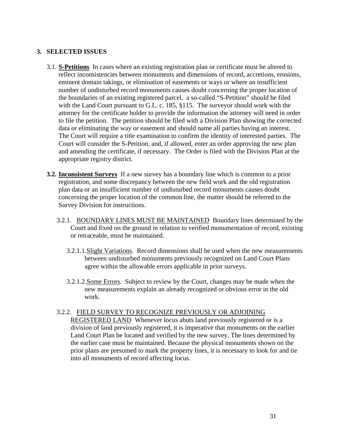# <span id="page-37-0"></span>**3. SELECTED ISSUES**

- 3.1. **S-Petitions** In cases where an existing registration plan or certificate must be altered to reflect inconsistencies between monuments and dimensions of record, accretions, erosions, eminent domain takings, or elimination of easements or ways or where an insufficient number of undisturbed record monuments causes doubt concerning the proper location of the boundaries of an existing registered parcel, a so-called "S-Petition" should be filed with the Land Court pursuant to G.L. c. 185, §115. The surveyor should work with the attorney for the certificate holder to provide the information the attorney will need in order to file the petition. The petition should be filed with a Division Plan showing the corrected data or eliminating the way or easement and should name all parties having an interest. The Court will require a title examination to confirm the identity of interested parties. The Court will consider the S-Petition, and, if allowed, enter an order approving the new plan and amending the certificate, if necessary. The Order is filed with the Division Plan at the appropriate registry district.
- **3.2. Inconsistent Surveys** If a new survey has a boundary line which is common to a prior registration, and some discrepancy between the new field work and the old registration plan data or an insufficient number of undisturbed record monuments causes doubt concerning the proper location of the common line, the matter should be referred to the Survey Division for instructions.
	- 3.2.1. BOUNDARY LINES MUST BE MAINTAINED Boundary lines determined by the Court and fixed on the ground in relation to verified monumentation of record, existing or retraceable, must be maintained.
		- 3.2.1.1.Slight Variations. Record dimensions shall be used when the new measurements between undisturbed monuments previously recognized on Land Court Plans agree within the allowable errors applicable in prior surveys.
		- 3.2.1.2.Some Errors. Subject to review by the Court, changes may be made when the new measurements explain an already recognized or obvious error in the old work.

# 3.2.2. FIELD SURVEY TO RECOGNIZE PREVIOUSLY OR ADJOINING

REGISTERED LAND Whenever locus abuts land previously registered or is a division of land previously registered, it is imperative that monuments on the earlier Land Court Plan be located and verified by the new survey. The lines determined by the earlier case must be maintained. Because the physical monuments shown on the prior plans are presumed to mark the property lines, it is necessary to look for and tie into all monuments of record affecting locus.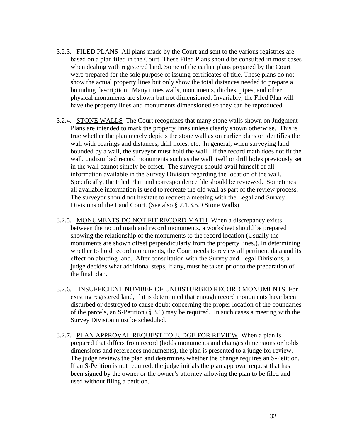- <span id="page-38-0"></span>3.2.3. FILED PLANS All plans made by the Court and sent to the various registries are based on a plan filed in the Court. These Filed Plans should be consulted in most cases when dealing with registered land. Some of the earlier plans prepared by the Court were prepared for the sole purpose of issuing certificates of title. These plans do not show the actual property lines but only show the total distances needed to prepare a bounding description. Many times walls, monuments, ditches, pipes, and other physical monuments are shown but not dimensioned. Invariably, the Filed Plan will have the property lines and monuments dimensioned so they can be reproduced.
- 3.2.4. STONE WALLS The Court recognizes that many stone walls shown on Judgment Plans are intended to mark the property lines unless clearly shown otherwise. This is true whether the plan merely depicts the stone wall as on earlier plans or identifies the wall with bearings and distances, drill holes, etc. In general, when surveying land bounded by a wall, the surveyor must hold the wall. If the record math does not fit the wall, undisturbed record monuments such as the wall itself or drill holes previously set in the wall cannot simply be offset. The surveyor should avail himself of all information available in the Survey Division regarding the location of the wall. Specifically, the Filed Plan and correspondence file should be reviewed. Sometimes all available information is used to recreate the old wall as part of the review process. The surveyor should not hesitate to request a meeting with the Legal and Survey Divisions of the Land Court. (See also § 2.1.3.5.9 Stone Walls).
- 3.2.5. MONUMENTS DO NOT FIT RECORD MATH When a discrepancy exists between the record math and record monuments, a worksheet should be prepared showing the relationship of the monuments to the record location (Usually the monuments are shown offset perpendicularly from the property lines.). In determining whether to hold record monuments, the Court needs to review all pertinent data and its effect on abutting land. After consultation with the Survey and Legal Divisions, a judge decides what additional steps, if any, must be taken prior to the preparation of the final plan.
- 3.2.6. INSUFFICIENT NUMBER OF UNDISTURBED RECORD MONUMENTS For existing registered land, if it is determined that enough record monuments have been disturbed or destroyed to cause doubt concerning the proper location of the boundaries of the parcels, an S-Petition (§ 3.1) may be required. In such cases a meeting with the Survey Division must be scheduled.
- 3.2.7. PLAN APPROVAL REQUEST TO JUDGE FOR REVIEW When a plan is prepared that differs from record (holds monuments and changes dimensions or holds dimensions and references monuments)**,** the plan is presented to a judge for review. The judge reviews the plan and determines whether the change requires an S-Petition. If an S-Petition is not required, the judge initials the plan approval request that has been signed by the owner or the owner's attorney allowing the plan to be filed and used without filing a petition.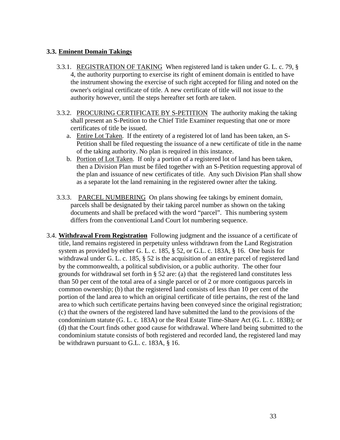# <span id="page-39-0"></span>**3.3. Eminent Domain Takings**

- 3.3.1. REGISTRATION OF TAKING When registered land is taken under G. L. c. 79, § 4, the authority purporting to exercise its right of eminent domain is entitled to have the instrument showing the exercise of such right accepted for filing and noted on the owner's original certificate of title. A new certificate of title will not issue to the authority however, until the steps hereafter set forth are taken.
- 3.3.2. PROCURING CERTIFICATE BY S-PETITION The authority making the taking shall present an S-Petition to the Chief Title Examiner requesting that one or more certificates of title be issued.
	- a. Entire Lot Taken. If the entirety of a registered lot of land has been taken, an S-Petition shall be filed requesting the issuance of a new certificate of title in the name of the taking authority. No plan is required in this instance.
	- b. Portion of Lot Taken. If only a portion of a registered lot of land has been taken, then a Division Plan must be filed together with an S-Petition requesting approval of the plan and issuance of new certificates of title. Any such Division Plan shall show as a separate lot the land remaining in the registered owner after the taking.
- 3.3.3. PARCEL NUMBERING On plans showing fee takings by eminent domain, parcels shall be designated by their taking parcel number as shown on the taking documents and shall be prefaced with the word "parcel". This numbering system differs from the conventional Land Court lot numbering sequence.
- 3.4. **Withdrawal From Registration** Following judgment and the issuance of a certificate of title, land remains registered in perpetuity unless withdrawn from the Land Registration system as provided by either G. L. c. 185, § 52, or G.L. c. 183A, § 16. One basis for withdrawal under G. L. c. 185, § 52 is the acquisition of an entire parcel of registered land by the commonwealth, a political subdivision, or a public authority. The other four grounds for withdrawal set forth in § 52 are: (a) that the registered land constitutes less than 50 per cent of the total area of a single parcel or of 2 or more contiguous parcels in common ownership; (b) that the registered land consists of less than 10 per cent of the portion of the land area to which an original certificate of title pertains, the rest of the land area to which such certificate pertains having been conveyed since the original registration; (c) that the owners of the registered land have submitted the land to the provisions of the condominium statute (G. L. c. 183A) or the Real Estate Time-Share Act (G. L. c. 183B); or (d) that the Court finds other good cause for withdrawal. Where land being submitted to the condominium statute consists of both registered and recorded land, the registered land may be withdrawn pursuant to G.L. c. 183A, § 16.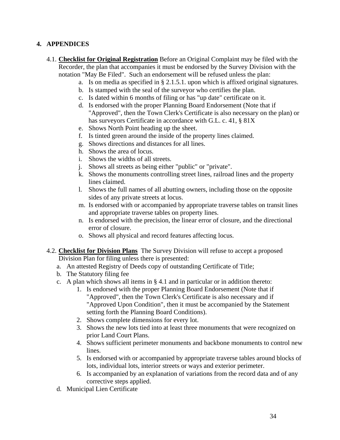# <span id="page-40-0"></span>**4. APPENDICES**

- 4.1. **Checklist for Original Registration** Before an Original Complaint may be filed with the Recorder, the plan that accompanies it must be endorsed by the Survey Division with the notation "May Be Filed". Such an endorsement will be refused unless the plan:
	- a. Is on media as specified in § 2.1.5.1. upon which is affixed original signatures.
	- b. Is stamped with the seal of the surveyor who certifies the plan.
	- c. Is dated within 6 months of filing or has "up date" certificate on it.
	- d. Is endorsed with the proper Planning Board Endorsement (Note that if "Approved", then the Town Clerk's Certificate is also necessary on the plan) or has surveyors Certificate in accordance with G.L. c. 41, § 81X
	- e. Shows North Point heading up the sheet.
	- f. Is tinted green around the inside of the property lines claimed.
	- g. Shows directions and distances for all lines.
	- h. Shows the area of locus.
	- i. Shows the widths of all streets.
	- j. Shows all streets as being either "public" or "private".
	- k. Shows the monuments controlling street lines, railroad lines and the property lines claimed.
	- l. Shows the full names of all abutting owners, including those on the opposite sides of any private streets at locus.
	- m. Is endorsed with or accompanied by appropriate traverse tables on transit lines and appropriate traverse tables on property lines.
	- n. Is endorsed with the precision, the linear error of closure, and the directional error of closure.
	- o. Shows all physical and record features affecting locus.
- 4.2. **Checklist for Division Plans** The Survey Division will refuse to accept a proposed Division Plan for filing unless there is presented:
	- a. An attested Registry of Deeds copy of outstanding Certificate of Title;
	- b. The Statutory filing fee
	- c. A plan which shows all items in § 4.1 and in particular or in addition thereto:
		- 1. Is endorsed with the proper Planning Board Endorsement (Note that if "Approved", then the Town Clerk's Certificate is also necessary and if "Approved Upon Condition", then it must be accompanied by the Statement setting forth the Planning Board Conditions).
		- 2. Shows complete dimensions for every lot.
		- 3. Shows the new lots tied into at least three monuments that were recognized on prior Land Court Plans.
		- 4. Shows sufficient perimeter monuments and backbone monuments to control new lines.
		- 5. Is endorsed with or accompanied by appropriate traverse tables around blocks of lots, individual lots, interior streets or ways and exterior perimeter.
		- 6. Is accompanied by an explanation of variations from the record data and of any corrective steps applied.
	- d. Municipal Lien Certificate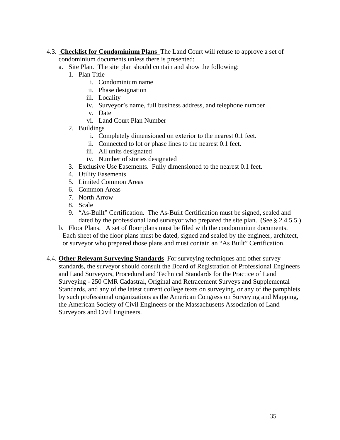- <span id="page-41-0"></span>4.3. **Checklist for Condominium Plans** The Land Court will refuse to approve a set of condominium documents unless there is presented:
	- a. Site Plan. The site plan should contain and show the following:
		- 1. Plan Title
			- i. Condominium name
			- ii. Phase designation
			- iii. Locality
			- iv. Surveyor's name, full business address, and telephone number
			- v. Date
			- vi. Land Court Plan Number
		- 2. Buildings
			- i. Completely dimensioned on exterior to the nearest 0.1 feet.
			- ii. Connected to lot or phase lines to the nearest 0.1 feet.
			- iii. All units designated
			- iv. Number of stories designated
		- 3. Exclusive Use Easements. Fully dimensioned to the nearest 0.1 feet.
		- 4. Utility Easements
		- 5. Limited Common Areas
		- 6. Common Areas
		- 7. North Arrow
		- 8. Scale
		- 9. "As-Built" Certification. The As-Built Certification must be signed, sealed and dated by the professional land surveyor who prepared the site plan. (See § 2.4.5.5.)
	- b. Floor Plans. A set of floor plans must be filed with the condominium documents. Each sheet of the floor plans must be dated, signed and sealed by the engineer, architect, or surveyor who prepared those plans and must contain an "As Built" Certification.
- 4.4. **Other Relevant Surveying Standards** For surveying techniques and other survey standards, the surveyor should consult the Board of Registration of Professional Engineers and Land Surveyors, Procedural and Technical Standards for the Practice of Land Surveying - 250 CMR Cadastral, Original and Retracement Surveys and Supplemental Standards, and any of the latest current college texts on surveying, or any of the pamphlets by such professional organizations as the American Congress on Surveying and Mapping, the American Society of Civil Engineers or the Massachusetts Association of Land Surveyors and Civil Engineers.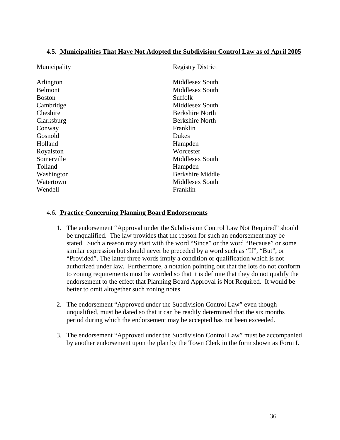# <span id="page-42-0"></span>**4.5. Municipalities That Have Not Adopted the Subdivision Control Law as of April 2005**

| Municipality  | <b>Registry District</b> |
|---------------|--------------------------|
| Arlington     | Middlesex South          |
| Belmont       | Middlesex South          |
| <b>Boston</b> | Suffolk                  |
| Cambridge     | Middlesex South          |
| Cheshire      | Berkshire North          |
| Clarksburg    | <b>Berkshire North</b>   |
| Conway        | Franklin                 |
| Gosnold       | <b>Dukes</b>             |
| Holland       | Hampden                  |
| Royalston     | Worcester                |
| Somerville    | Middlesex South          |
| Tolland       | Hampden                  |
| Washington    | Berkshire Middle         |
| Watertown     | Middlesex South          |
| Wendell       | Franklin                 |
|               |                          |

# 4.6. **Practice Concerning Planning Board Endorsements**

- 1. The endorsement "Approval under the Subdivision Control Law Not Required" should be unqualified. The law provides that the reason for such an endorsement may be stated. Such a reason may start with the word "Since" or the word "Because" or some similar expression but should never be preceded by a word such as "If", "But", or "Provided". The latter three words imply a condition or qualification which is not authorized under law. Furthermore, a notation pointing out that the lots do not conform to zoning requirements must be worded so that it is definite that they do not qualify the endorsement to the effect that Planning Board Approval is Not Required. It would be better to omit altogether such zoning notes.
- 2. The endorsement "Approved under the Subdivision Control Law" even though unqualified, must be dated so that it can be readily determined that the six months period during which the endorsement may be accepted has not been exceeded.
- 3. The endorsement "Approved under the Subdivision Control Law" must be accompanied by another endorsement upon the plan by the Town Clerk in the form shown as Form I.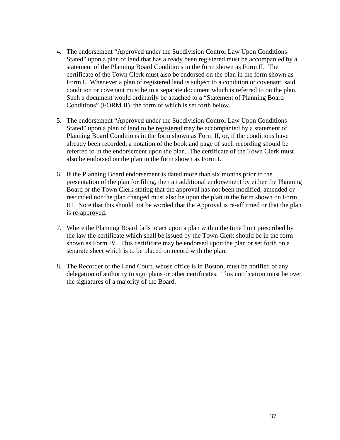- 4. The endorsement "Approved under the Subdivision Control Law Upon Conditions Stated" upon a plan of land that has already been registered must be accompanied by a statement of the Planning Board Conditions in the form shown as Form II. The certificate of the Town Clerk must also be endorsed on the plan in the form shown as Form I. Whenever a plan of registered land is subject to a condition or covenant, said condition or covenant must be in a separate document which is referred to on the plan. Such a document would ordinarily be attached to a "Statement of Planning Board Conditions" (FORM II), the form of which is set forth below.
- 5. The endorsement "Approved under the Subdivision Control Law Upon Conditions Stated" upon a plan of land to be registered may be accompanied by a statement of Planning Board Conditions in the form shown as Form II, or, if the conditions have already been recorded, a notation of the book and page of such recording should be referred to in the endorsement upon the plan. The certificate of the Town Clerk must also be endorsed on the plan in the form shown as Form I.
- 6. If the Planning Board endorsement is dated more than six months prior to the presentation of the plan for filing, then an additional endorsement by either the Planning Board or the Town Clerk stating that the approval has not been modified, amended or rescinded nor the plan changed must also be upon the plan in the form shown on Form III. Note that this should not be worded that the Approval is re-affirmed or that the plan is re-approved.
- 7. Where the Planning Board fails to act upon a plan within the time limit prescribed by the law the certificate which shall be issued by the Town Clerk should be in the form shown as Form IV. This certificate may be endorsed upon the plan or set forth on a separate sheet which is to be placed on record with the plan.
- 8. The Recorder of the Land Court, whose office is in Boston, must be notified of any delegation of authority to sign plans or other certificates. This notification must be over the signatures of a majority of the Board.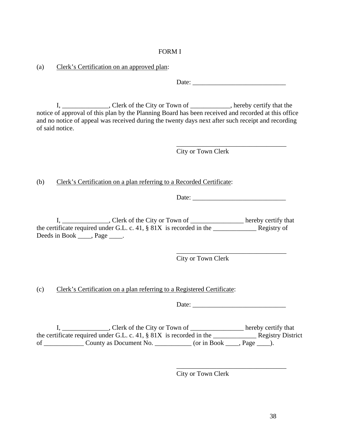# FORM I

(a) Clerk's Certification on an approved plan:

Date: \_\_\_\_\_\_\_\_\_\_\_\_\_\_\_\_\_\_\_\_\_\_\_\_\_\_\_\_

I, \_\_\_\_\_\_\_\_\_\_\_\_, Clerk of the City or Town of \_\_\_\_\_\_\_\_\_, hereby certify that the notice of approval of this plan by the Planning Board has been received and recorded at this office and no notice of appeal was received during the twenty days next after such receipt and recording of said notice.

 $\overline{\phantom{a}}$  , and the contract of the contract of the contract of the contract of the contract of the contract of the contract of the contract of the contract of the contract of the contract of the contract of the contrac City or Town Clerk

(b) Clerk's Certification on a plan referring to a Recorded Certificate:

Date:

I, \_\_\_\_\_\_\_\_\_\_\_\_\_\_, Clerk of the City or Town of \_\_\_\_\_\_\_\_\_\_\_\_\_\_\_\_\_\_ hereby certify that the certificate required under G.L. c. 41,  $\S$  81X is recorded in the Registry of Deeds in Book \_\_\_\_, Page \_\_\_\_.

 $\overline{\phantom{a}}$  , and the contract of the contract of the contract of the contract of the contract of the contract of the contract of the contract of the contract of the contract of the contract of the contract of the contrac

City or Town Clerk

(c) Clerk's Certification on a plan referring to a Registered Certificate:

Date:

I, \_\_\_\_\_\_\_\_\_\_\_\_\_, Clerk of the City or Town of \_\_\_\_\_\_\_\_\_\_\_\_\_\_\_\_\_ hereby certify that the certificate required under G.L. c. 41,  $\S$  81X is recorded in the Registry District of \_\_\_\_\_\_\_\_\_\_\_\_\_ County as Document No. \_\_\_\_\_\_\_\_\_\_\_ (or in Book \_\_\_\_, Page \_\_\_\_).

 $\overline{\phantom{a}}$  , and the contract of the contract of the contract of the contract of the contract of the contract of the contract of the contract of the contract of the contract of the contract of the contract of the contrac

City or Town Clerk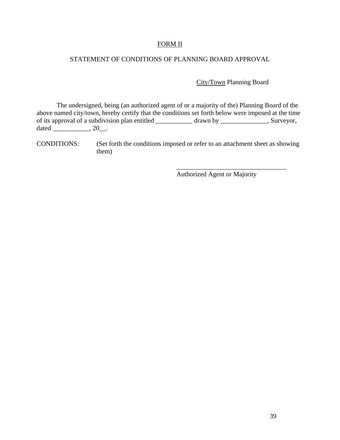# FORM II

# STATEMENT OF CONDITIONS OF PLANNING BOARD APPROVAL

City/Town Planning Board

 The undersigned, being (an authorized agent of or a majority of the) Planning Board of the above named city/town, hereby certify that the conditions set forth below were imposed at the time of its approval of a subdivision plan entitled \_\_\_\_\_\_\_\_\_\_\_ drawn by \_\_\_\_\_\_\_\_\_\_\_\_\_\_, Surveyor, dated \_\_\_\_\_\_\_\_\_\_\_,  $20$ \_\_.

CONDITIONS: (Set forth the conditions imposed or refer to an attachment sheet as showing them)

 $\overline{\phantom{a}}$  , and the contract of the contract of the contract of the contract of the contract of the contract of the contract of the contract of the contract of the contract of the contract of the contract of the contrac

Authorized Agent or Majority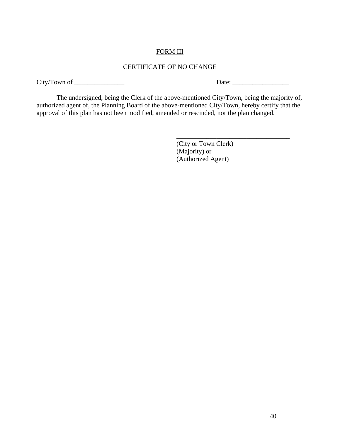# FORM III

# CERTIFICATE OF NO CHANGE

City/Town of \_\_\_\_\_\_\_\_\_\_\_\_\_\_\_ Date: \_\_\_\_\_\_\_\_\_\_\_\_\_\_\_\_\_

 The undersigned, being the Clerk of the above-mentioned City/Town, being the majority of, authorized agent of, the Planning Board of the above-mentioned City/Town, hereby certify that the approval of this plan has not been modified, amended or rescinded, nor the plan changed.

 $\overline{\phantom{a}}$  , and the contract of the contract of the contract of the contract of the contract of the contract of the contract of the contract of the contract of the contract of the contract of the contract of the contrac

 (City or Town Clerk) (Majority) or (Authorized Agent)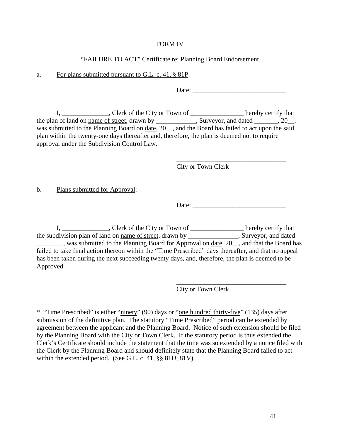# FORM IV

# "FAILURE TO ACT" Certificate re: Planning Board Endorsement

#### a. For plans submitted pursuant to G.L. c. 41, § 81P:

Date: \_\_\_\_\_\_\_\_\_\_\_\_\_\_\_\_\_\_\_\_\_\_\_\_\_\_\_\_

I, \_\_\_\_\_\_\_\_\_\_\_\_\_, Clerk of the City or Town of \_\_\_\_\_\_\_\_\_\_\_\_\_\_\_\_\_ hereby certify that the plan of land on <u>name of street</u>, drawn by \_\_\_\_\_\_\_\_\_\_, Surveyor, and dated \_\_\_\_\_\_, 20\_\_, was submitted to the Planning Board on date, 20\_\_, and the Board has failed to act upon the said plan within the twenty-one days thereafter and, therefore, the plan is deemed not to require approval under the Subdivision Control Law.

 $\overline{\phantom{a}}$  , and the contract of the contract of the contract of the contract of the contract of the contract of the contract of the contract of the contract of the contract of the contract of the contract of the contrac

City or Town Clerk

b. Plans submitted for Approval:

Date:

I, \_\_\_\_\_\_\_\_\_\_\_\_\_, Clerk of the City or Town of \_\_\_\_\_\_\_\_\_\_\_\_\_\_\_\_\_ hereby certify that the subdivision plan of land on name of street, drawn by \_\_\_\_\_\_\_\_\_\_\_\_\_\_\_, Surveyor, and dated was submitted to the Planning Board for Approval on date, 20<sub>\_\_</sub>, and that the Board has failed to take final action thereon within the "Time Prescribed" days thereafter, and that no appeal has been taken during the next succeeding twenty days, and, therefore, the plan is deemed to be Approved.

 $\overline{\phantom{a}}$  , and the contract of the contract of the contract of the contract of the contract of the contract of the contract of the contract of the contract of the contract of the contract of the contract of the contrac

City or Town Clerk

\* "Time Prescribed" is either "ninety" (90) days or "one hundred thirty-five" (135) days after submission of the definitive plan. The statutory "Time Prescribed" period can be extended by agreement between the applicant and the Planning Board. Notice of such extension should be filed by the Planning Board with the City or Town Clerk. If the statutory period is thus extended the Clerk's Certificate should include the statement that the time was so extended by a notice filed with the Clerk by the Planning Board and should definitely state that the Planning Board failed to act within the extended period. (See G.L. c. 41, §§ 81U, 81V)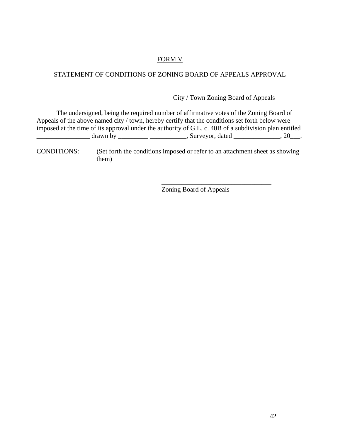# FORM V

# STATEMENT OF CONDITIONS OF ZONING BOARD OF APPEALS APPROVAL

City / Town Zoning Board of Appeals

 The undersigned, being the required number of affirmative votes of the Zoning Board of Appeals of the above named city / town, hereby certify that the conditions set forth below were imposed at the time of its approval under the authority of G.L. c. 40B of a subdivision plan entitled \_\_\_\_\_\_\_\_\_\_\_\_\_\_\_\_ drawn by \_\_\_\_\_\_\_\_\_ \_\_\_\_\_\_\_\_\_\_\_, Surveyor, dated \_\_\_\_\_\_\_\_\_\_\_\_\_\_, 20\_\_\_.

CONDITIONS: (Set forth the conditions imposed or refer to an attachment sheet as showing them)

Zoning Board of Appeals

 $\overline{\phantom{a}}$  ,  $\overline{\phantom{a}}$  ,  $\overline{\phantom{a}}$  ,  $\overline{\phantom{a}}$  ,  $\overline{\phantom{a}}$  ,  $\overline{\phantom{a}}$  ,  $\overline{\phantom{a}}$  ,  $\overline{\phantom{a}}$  ,  $\overline{\phantom{a}}$  ,  $\overline{\phantom{a}}$  ,  $\overline{\phantom{a}}$  ,  $\overline{\phantom{a}}$  ,  $\overline{\phantom{a}}$  ,  $\overline{\phantom{a}}$  ,  $\overline{\phantom{a}}$  ,  $\overline{\phantom{a}}$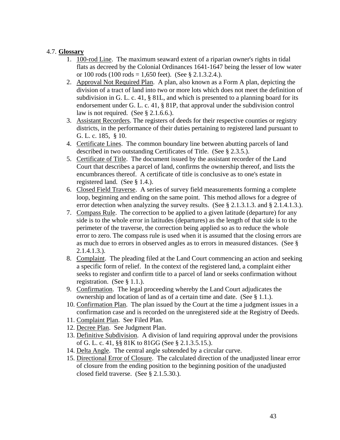# <span id="page-49-0"></span>4.7. **Glossary**

- 1. 100-rod Line. The maximum seaward extent of a riparian owner's rights in tidal flats as decreed by the Colonial Ordinances 1641-1647 being the lesser of low water or 100 rods (100 rods = 1,650 feet). (See § 2.1.3.2.4.).
- 2. Approval Not Required Plan. A plan, also known as a Form A plan, depicting the division of a tract of land into two or more lots which does not meet the definition of subdivision in G. L. c. 41, § 81L, and which is presented to a planning board for its endorsement under G. L. c. 41, § 81P, that approval under the subdivision control law is not required. (See § 2.1.6.6.).
- 3. Assistant Recorders. The registers of deeds for their respective counties or registry districts, in the performance of their duties pertaining to registered land pursuant to G. L. c. 185, § 10.
- 4. Certificate Lines. The common boundary line between abutting parcels of land described in two outstanding Certificates of Title. (See § 2.3.5.).
- 5. Certificate of Title. The document issued by the assistant recorder of the Land Court that describes a parcel of land, confirms the ownership thereof, and lists the encumbrances thereof. A certificate of title is conclusive as to one's estate in registered land. (See § 1.4.).
- 6. Closed Field Traverse. A series of survey field measurements forming a complete loop, beginning and ending on the same point. This method allows for a degree of error detection when analyzing the survey results. (See § 2.1.3.1.3. and § 2.1.4.1.3.).
- 7. Compass Rule. The correction to be applied to a given latitude (departure) for any side is to the whole error in latitudes (departures) as the length of that side is to the perimeter of the traverse, the correction being applied so as to reduce the whole error to zero. The compass rule is used when it is assumed that the closing errors are as much due to errors in observed angles as to errors in measured distances. (See § 2.1.4.1.3.).
- 8. Complaint. The pleading filed at the Land Court commencing an action and seeking a specific form of relief. In the context of the registered land, a complaint either seeks to register and confirm title to a parcel of land or seeks confirmation without registration. (See § 1.1.).
- 9. Confirmation. The legal proceeding whereby the Land Court adjudicates the ownership and location of land as of a certain time and date. (See § 1.1.).
- 10. Confirmation Plan. The plan issued by the Court at the time a judgment issues in a confirmation case and is recorded on the unregistered side at the Registry of Deeds.
- 11. Complaint Plan. See Filed Plan.
- 12. Decree Plan. See Judgment Plan.
- 13. Definitive Subdivision. A division of land requiring approval under the provisions of G. L. c. 41, §§ 81K to 81GG (See § 2.1.3.5.15.).
- 14. Delta Angle. The central angle subtended by a circular curve.
- 15. Directional Error of Closure. The calculated direction of the unadjusted linear error of closure from the ending position to the beginning position of the unadjusted closed field traverse. (See § 2.1.5.30.).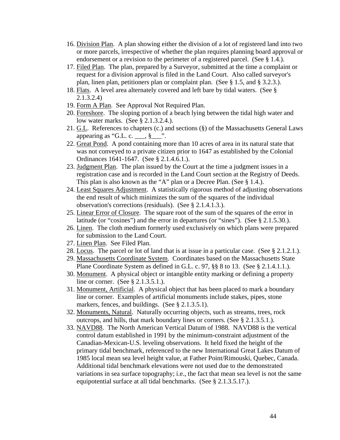- 16. Division Plan. A plan showing either the division of a lot of registered land into two or more parcels, irrespective of whether the plan requires planning board approval or endorsement or a revision to the perimeter of a registered parcel. (See § 1.4.).
- 17. Filed Plan. The plan, prepared by a Surveyor, submitted at the time a complaint or request for a division approval is filed in the Land Court. Also called surveyor's plan, linen plan, petitioners plan or complaint plan. (See § 1.5, and § 3.2.3.).
- 18. Flats. A level area alternately covered and left bare by tidal waters. (See § 2.1.3.2.4)
- 19. Form A Plan. See Approval Not Required Plan.
- 20. Foreshore. The sloping portion of a beach lying between the tidal high water and low water marks. (See § 2.1.3.2.4.).
- 21. G.L. References to chapters (c.) and sections (§) of the Massachusetts General Laws appearing as "G.L. c. \_\_\_, §\_\_\_".
- 22. Great Pond. A pond containing more than 10 acres of area in its natural state that was not conveyed to a private citizen prior to 1647 as established by the Colonial Ordinances 1641-1647. (See § 2.1.4.6.1.).
- 23. Judgment Plan. The plan issued by the Court at the time a judgment issues in a registration case and is recorded in the Land Court section at the Registry of Deeds. This plan is also known as the "A" plan or a Decree Plan. (See § 1.4.).
- 24. Least Squares Adjustment. A statistically rigorous method of adjusting observations the end result of which minimizes the sum of the squares of the individual observation's corrections (residuals). (See § 2.1.4.1.3.).
- 25. Linear Error of Closure. The square root of the sum of the squares of the error in latitude (or "cosines") and the error in departures (or "sines"). (See § 2.1.5.30.).
- 26. Linen. The cloth medium formerly used exclusively on which plans were prepared for submission to the Land Court.
- 27. Linen Plan. See Filed Plan.
- 28. Locus. The parcel or lot of land that is at issue in a particular case. (See § 2.1.2.1.).
- 29. Massachusetts Coordinate System. Coordinates based on the Massachusetts State Plane Coordinate System as defined in G.L. c. 97, §§ 8 to 13. (See § 2.1.4.1.1.).
- 30. Monument. A physical object or intangible entity marking or defining a property line or corner. (See § 2.1.3.5.1.).
- 31. Monument, Artificial. A physical object that has been placed to mark a boundary line or corner. Examples of artificial monuments include stakes, pipes, stone markers, fences, and buildings. (See § 2.1.3.5.1).
- 32. Monuments, Natural. Naturally occurring objects, such as streams, trees, rock outcrops, and hills, that mark boundary lines or corners. (See § 2.1.3.5.1.).
- 33. NAVD88. The North American Vertical Datum of 1988. NAVD88 is the vertical control datum established in 1991 by the minimum-constraint adjustment of the Canadian-Mexican-U.S. leveling observations. It held fixed the height of the primary tidal benchmark, referenced to the new International Great Lakes Datum of 1985 local mean sea level height value, at Father Point/Rimouski, Quebec, Canada. Additional tidal benchmark elevations were not used due to the demonstrated variations in sea surface topography; i.e., the fact that mean sea level is not the same equipotential surface at all tidal benchmarks. (See § 2.1.3.5.17.).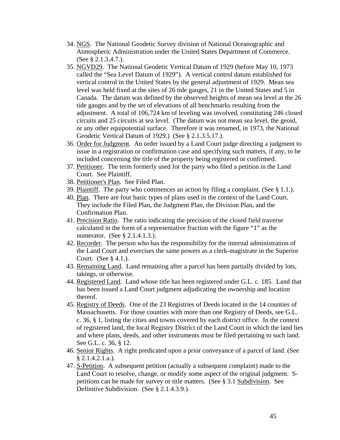- 34. NGS. The National Geodetic Survey division of National Oceanographic and Atmospheric Administration under the United States Department of Commerce. (See § 2.1.3.4.7.).
- 35. NGVD29. The National Geodetic Vertical Datum of 1929 (before May 10, 1973 called the "Sea Level Datum of 1929"). A vertical control datum established for vertical control in the United States by the general adjustment of 1929. Mean sea level was held fixed at the sites of 26 tide gauges, 21 in the United States and 5 in Canada. The datum was defined by the observed heights of mean sea level at the 26 tide gauges and by the set of elevations of all benchmarks resulting from the adjustment. A total of 106,724 km of leveling was involved, constituting 246 closed circuits and 25 circuits at sea level. (The datum was not mean sea level, the geoid, or any other equipotential surface. Therefore it was renamed, in 1973, the National Geodetic Vertical Datum of 1929.) (See § 2.1.3.5.17.).
- 36. Order for Judgment. An order issued by a Land Court judge directing a judgment to issue in a registration or confirmation case and specifying such matters, if any, to be included concerning the title of the property being registered or confirmed.
- 37. Petitioner. The term formerly used for the party who filed a petition in the Land Court. See Plaintiff.
- 38. Petitioner's Plan. See Filed Plan.
- 39. Plaintiff. The party who commences an action by filing a complaint. (See § 1.1.).
- 40. Plan. There are four basic types of plans used in the context of the Land Court. They include the Filed Plan, the Judgment Plan, the Division Plan, and the Confirmation Plan.
- 41. Precision Ratio. The ratio indicating the precision of the closed field traverse calculated in the form of a representative fraction with the figure "1" as the numerator. (See § 2.1.4.1.3.).
- 42. Recorder. The person who has the responsibility for the internal administration of the Land Court and exercises the same powers as a clerk-magistrate in the Superior Court. (See § 4.1.).
- 43. Remaining Land. Land remaining after a parcel has been partially divided by lots, takings, or otherwise.
- 44. Registered Land. Land whose title has been registered under G.L. c. 185. Land that has been issued a Land Court judgment adjudicating the ownership and location thereof.
- 45. Registry of Deeds. One of the 23 Registries of Deeds located in the 14 counties of Massachusetts. For those counties with more than one Registry of Deeds, see G.L. c. 36, § 1, listing the cities and towns covered by each district office. In the context of registered land, the local Registry District of the Land Court in which the land lies and where plans, deeds, and other instruments must be filed pertaining to such land. See G.L. c. 36, § 12.
- 46. Senior Rights. A right predicated upon a prior conveyance of a parcel of land. (See  $§ 2.1.4.2.1.a.).$
- 47. S-Petition. A subsequent petition (actually a subsequent complaint) made to the Land Court to resolve, change, or modify some aspect of the original judgment. Spetitions can be made for survey or title matters. (See § 3.1 Subdivision. See Definitive Subdivision. (See § 2.1.4.3.9.).